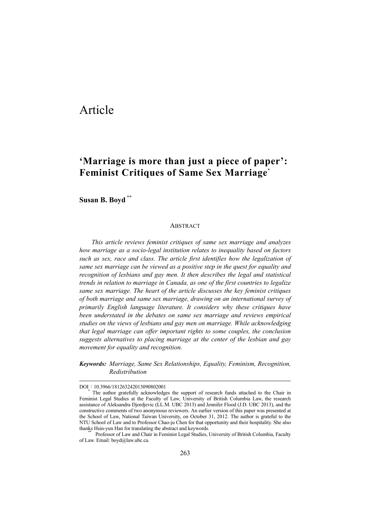## Article

### **'Marriage is more than just a piece of paper': Feminist Critiques of Same Sex Marriage**\*

**Susan B. Boyd \*\*** 

#### **ABSTRACT**

*This article reviews feminist critiques of same sex marriage and analyzes how marriage as a socio-legal institution relates to inequality based on factors such as sex, race and class. The article first identifies how the legalization of same sex marriage can be viewed as a positive step in the quest for equality and recognition of lesbians and gay men. It then describes the legal and statistical trends in relation to marriage in Canada, as one of the first countries to legalize same sex marriage. The heart of the article discusses the key feminist critiques of both marriage and same sex marriage, drawing on an international survey of primarily English language literature. It considers why these critiques have been understated in the debates on same sex marriage and reviews empirical studies on the views of lesbians and gay men on marriage. While acknowledging that legal marriage can offer important rights to some couples, the conclusion suggests alternatives to placing marriage at the center of the lesbian and gay movement for equality and recognition.*

*Keywords: Marriage, Same Sex Relationships, Equality, Feminism, Recognition, Redistribution*

DOI: 10.3966/181263242013090802001

The author gratefully acknowledges the support of research funds attached to the Chair in Feminist Legal Studies at the Faculty of Law, University of British Columbia Law, the research assistance of Aleksandra Djordjevic (LL.M. UBC 2013) and Jennifer Flood (J.D. UBC 2013), and the constructive comments of two anonymous reviewers. An earlier version of this paper was presented at the School of Law, National Taiwan University, on October 31, 2012. The author is grateful to the NTU School of Law and to Professor Chao-ju Chen for that opportunity and their hospitality. She also thanks Hsin-yun Han for translating the abstract and keywords. \*\* Professor of Law and Chair in Feminist Legal Studies, University of British Columbia, Faculty

of Law. Email: boyd@law.ubc.ca.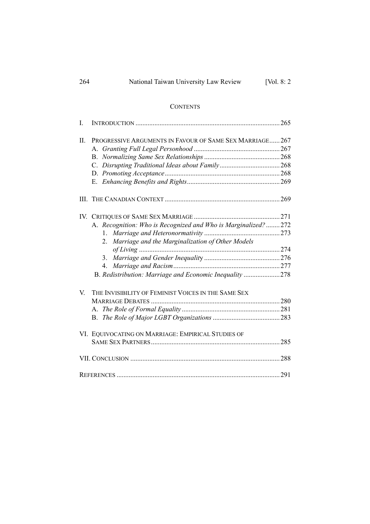| 264<br>National Taiwan University Law Review | [Vol. $8:2$ |
|----------------------------------------------|-------------|
|----------------------------------------------|-------------|

#### **CONTENTS**

| I.  |                                                               |  |
|-----|---------------------------------------------------------------|--|
| II. | PROGRESSIVE ARGUMENTS IN FAVOUR OF SAME SEX MARRIAGE 267      |  |
|     |                                                               |  |
|     |                                                               |  |
|     |                                                               |  |
|     |                                                               |  |
|     |                                                               |  |
|     |                                                               |  |
|     |                                                               |  |
|     | A. Recognition: Who is Recognized and Who is Marginalized?272 |  |
|     |                                                               |  |
|     | Marriage and the Marginalization of Other Models<br>2         |  |
|     |                                                               |  |
|     | $3_{-}$                                                       |  |
|     | 4.                                                            |  |
|     | B. Redistribution: Marriage and Economic Inequality 278       |  |
| V.  | THE INVISIBILITY OF FEMINIST VOICES IN THE SAME SEX           |  |
|     |                                                               |  |
|     |                                                               |  |
|     |                                                               |  |
|     | VI. EQUIVOCATING ON MARRIAGE: EMPIRICAL STUDIES OF            |  |
|     |                                                               |  |
|     |                                                               |  |
|     |                                                               |  |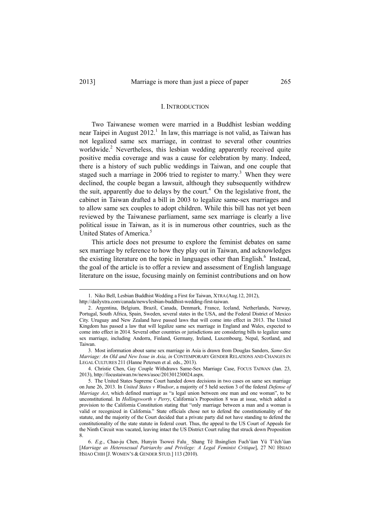l

#### I. INTRODUCTION

Two Taiwanese women were married in a Buddhist lesbian wedding near Taipei in August  $2012<sup>1</sup>$  In law, this marriage is not valid, as Taiwan has not legalized same sex marriage, in contrast to several other countries worldwide.<sup>2</sup> Nevertheless, this lesbian wedding apparently received quite positive media coverage and was a cause for celebration by many. Indeed, there is a history of such public weddings in Taiwan, and one couple that staged such a marriage in 2006 tried to register to marry.<sup>3</sup> When they were declined, the couple began a lawsuit, although they subsequently withdrew the suit, apparently due to delays by the court.<sup>4</sup> On the legislative front, the cabinet in Taiwan drafted a bill in 2003 to legalize same-sex marriages and to allow same sex couples to adopt children. While this bill has not yet been reviewed by the Taiwanese parliament, same sex marriage is clearly a live political issue in Taiwan, as it is in numerous other countries, such as the United States of America.<sup>5</sup>

This article does not presume to explore the feminist debates on same sex marriage by reference to how they play out in Taiwan, and acknowledges the existing literature on the topic in languages other than English. $<sup>6</sup>$  Instead,</sup> the goal of the article is to offer a review and assessment of English language literature on the issue, focusing mainly on feminist contributions and on how

 <sup>1.</sup> Niko Bell, Lesbian Buddhist Wedding a First for Taiwan, XTRA (Aug.12, 2012),

http://dailyxtra.com/canada/news/lesbian-buddhist-wedding-first-taiwan.

 <sup>2.</sup> Argentina, Belgium, Brazil, Canada, Denmark, France, Iceland, Netherlands, Norway, Portugal, South Africa, Spain, Sweden, several states in the USA, and the Federal District of Mexico City. Uruguay and New Zealand have passed laws that will come into effect in 2013. The United Kingdom has passed a law that will legalize same sex marriage in England and Wales, expected to come into effect in 2014. Several other countries or jurisdictions are considering bills to legalize same sex marriage, including Andorra, Finland, Germany, Ireland, Luxembourg, Nepal, Scotland, and Taiwan.

 <sup>3.</sup> Most information about same sex marriage in Asia is drawn from Douglas Sanders, *Same-Sex Marriage: An Old and New Issue in Asia, in* CONTEMPORARY GENDER RELATIONS AND CHANGES IN LEGAL CULTURES 211 (Hanne Petersen et al. eds., 2013).

 <sup>4.</sup> Christie Chen, Gay Couple Withdraws Same-Sex Marriage Case, FOCUS TAIWAN (Jan. 23, 2013), http://focustaiwan.tw/news/asoc/201301230024.aspx.

 <sup>5.</sup> The United States Supreme Court handed down decisions in two cases on same sex marriage on June 26, 2013. In *United States v Windsor*, a majority of 5 held section 3 of the federal *Defense of Marriage Act*, which defined marriage as "a legal union between one man and one woman", to be unconstitutional. In *Hollingsworth v Perry*, California's Proposition 8 was at issue, which added a provision to the California Constitution stating that "only marriage between a man and a woman is valid or recognized in California." State officials chose not to defend the constitutionality of the statute, and the majority of the Court decided that a private party did not have standing to defend the constitutionality of the state statute in federal court. Thus, the appeal to the US Court of Appeals for the Ninth Circuit was vacated, leaving intact the US District Court ruling that struck down Proposition 8.

 <sup>6.</sup> *E.g.*, Chao-ju Chen, Hunyin Tsowei Falu\_ Shang Tê Ihsinglien Fuch'üan Yü T'êch'üan [*Marriage as Heterosexual Patriarchy and Privilege: A Legal Feminist Critique*], 27 NÜ HSIAO HSIAO CHIH [J. WOMEN'S & GENDER STUD.] 113 (2010).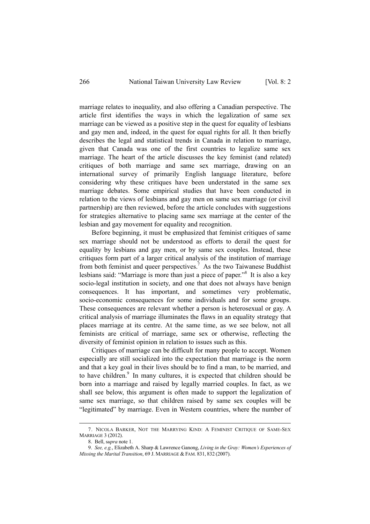marriage relates to inequality, and also offering a Canadian perspective. The article first identifies the ways in which the legalization of same sex marriage can be viewed as a positive step in the quest for equality of lesbians and gay men and, indeed, in the quest for equal rights for all. It then briefly describes the legal and statistical trends in Canada in relation to marriage, given that Canada was one of the first countries to legalize same sex marriage. The heart of the article discusses the key feminist (and related) critiques of both marriage and same sex marriage, drawing on an international survey of primarily English language literature, before considering why these critiques have been understated in the same sex marriage debates. Some empirical studies that have been conducted in relation to the views of lesbians and gay men on same sex marriage (or civil partnership) are then reviewed, before the article concludes with suggestions for strategies alternative to placing same sex marriage at the center of the lesbian and gay movement for equality and recognition.

Before beginning, it must be emphasized that feminist critiques of same sex marriage should not be understood as efforts to derail the quest for equality by lesbians and gay men, or by same sex couples. Instead, these critiques form part of a larger critical analysis of the institution of marriage from both feminist and queer perspectives.<sup>7</sup> As the two Taiwanese Buddhist lesbians said: "Marriage is more than just a piece of paper."<sup>8</sup> It is also a key socio-legal institution in society, and one that does not always have benign consequences. It has important, and sometimes very problematic, socio-economic consequences for some individuals and for some groups. These consequences are relevant whether a person is heterosexual or gay. A critical analysis of marriage illuminates the flaws in an equality strategy that places marriage at its centre. At the same time, as we see below, not all feminists are critical of marriage, same sex or otherwise, reflecting the diversity of feminist opinion in relation to issues such as this.

Critiques of marriage can be difficult for many people to accept. Women especially are still socialized into the expectation that marriage is the norm and that a key goal in their lives should be to find a man, to be married, and to have children. $9$  In many cultures, it is expected that children should be born into a marriage and raised by legally married couples. In fact, as we shall see below, this argument is often made to support the legalization of same sex marriage, so that children raised by same sex couples will be "legitimated" by marriage. Even in Western countries, where the number of

 $\overline{a}$ 

 <sup>7.</sup> NICOLA BARKER, NOT THE MARRYING KIND: A FEMINIST CRITIQUE OF SAME-SEX MARRIAGE 3 (2012).

 <sup>8.</sup> Bell, s*upra* note 1.

 <sup>9.</sup> *See, e.g.*, Elizabeth A. Sharp & Lawrence Ganong, *Living in the Gray: Women's Experiences of Missing the Marital Transition*, 69 J. MARRIAGE & FAM. 831, 832 (2007).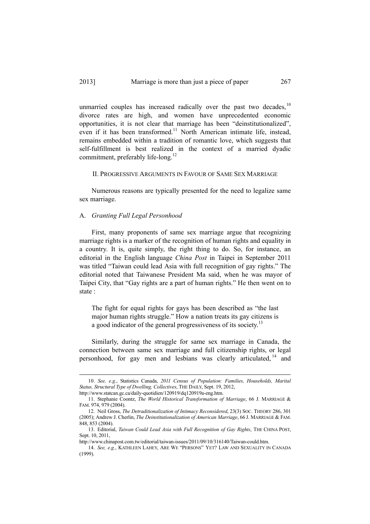unmarried couples has increased radically over the past two decades,  $10$ divorce rates are high, and women have unprecedented economic opportunities, it is not clear that marriage has been "deinstitutionalized", even if it has been transformed.<sup>11</sup> North American intimate life, instead, remains embedded within a tradition of romantic love, which suggests that self-fulfillment is best realized in the context of a married dyadic commitment, preferably life-long.<sup>12</sup>

II. PROGRESSIVE ARGUMENTS IN FAVOUR OF SAME SEX MARRIAGE

Numerous reasons are typically presented for the need to legalize same sex marriage.

#### A. *Granting Full Legal Personhood*

First, many proponents of same sex marriage argue that recognizing marriage rights is a marker of the recognition of human rights and equality in a country. It is, quite simply, the right thing to do. So, for instance, an editorial in the English language *China Post* in Taipei in September 2011 was titled "Taiwan could lead Asia with full recognition of gay rights." The editorial noted that Taiwanese President Ma said, when he was mayor of Taipei City, that "Gay rights are a part of human rights." He then went on to state :

The fight for equal rights for gays has been described as "the last major human rights struggle." How a nation treats its gay citizens is a good indicator of the general progressiveness of its society.<sup>13</sup>

Similarly, during the struggle for same sex marriage in Canada, the connection between same sex marriage and full citizenship rights, or legal personhood, for gay men and lesbians was clearly articulated, 14 and

 <sup>10.</sup> *See, e.g.*, Statistics Canada, *2011 Census of Population: Families, Households, Marital Status, Structural Type of Dwelling, Collectives*, THE DAILY, Sept. 19, 2012,

http://www.statcan.gc.ca/daily-quotidien/120919/dq120919a-eng.htm.

 <sup>11.</sup> Stephanie Coontz, *The World Historical Transformation of Marriage*, 66 J. MARRIAGE & FAM. 974, 979 (2004).

 <sup>12.</sup> Neil Gross, *The Detraditionalization of Intimacy Reconsidered*, 23(3) SOC. THEORY 286, 301 (2005); Andrew J. Cherlin, *The Deinstitutionalization of American Marriage*, 66 J. MARRIAGE & FAM. 848, 853 (2004).

 <sup>13.</sup> Editorial, *Taiwan Could Lead Asia with Full Recognition of Gay Rights*, THE CHINA POST, Sept. 10, 2011

http://www.chinapost.com.tw/editorial/taiwan-issues/2011/09/10/316140/Taiwan-could.htm.

 <sup>14.</sup> *See, e.g.*, KATHLEEN LAHEY, ARE WE "PERSONS" YET? LAW AND SEXUALITY IN CANADA (1999).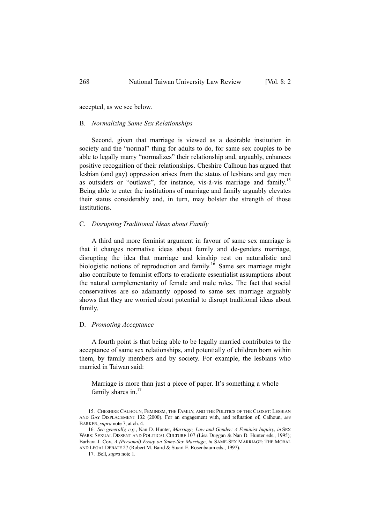accepted, as we see below.

#### B. *Normalizing Same Sex Relationships*

Second, given that marriage is viewed as a desirable institution in society and the "normal" thing for adults to do, for same sex couples to be able to legally marry "normalizes" their relationship and, arguably, enhances positive recognition of their relationships. Cheshire Calhoun has argued that lesbian (and gay) oppression arises from the status of lesbians and gay men as outsiders or "outlaws", for instance, vis-à-vis marriage and family.<sup>15</sup> Being able to enter the institutions of marriage and family arguably elevates their status considerably and, in turn, may bolster the strength of those institutions.

#### C. *Disrupting Traditional Ideas about Family*

A third and more feminist argument in favour of same sex marriage is that it changes normative ideas about family and de-genders marriage, disrupting the idea that marriage and kinship rest on naturalistic and biologistic notions of reproduction and family.<sup>16</sup> Same sex marriage might also contribute to feminist efforts to eradicate essentialist assumptions about the natural complementarity of female and male roles. The fact that social conservatives are so adamantly opposed to same sex marriage arguably shows that they are worried about potential to disrupt traditional ideas about family.

#### D. *Promoting Acceptance*

A fourth point is that being able to be legally married contributes to the acceptance of same sex relationships, and potentially of children born within them, by family members and by society. For example, the lesbians who married in Taiwan said:

Marriage is more than just a piece of paper. It's something a whole family shares in.<sup>17</sup>

 <sup>15.</sup> CHESHIRE CALHOUN, FEMINISM, THE FAMILY, AND THE POLITICS OF THE CLOSET: LESBIAN AND GAY DISPLACEMENT 132 (2000). For an engagement with, and refutation of, Calhoun, *see* BARKER, *supra* note 7, at ch. 4.

 <sup>16.</sup> *See generally, e.g.*, Nan D. Hunter, *Marriage, Law and Gender: A Feminist Inquiry*, *in* SEX WARS: SEXUAL DISSENT AND POLITICAL CULTURE 107 (Lisa Duggan & Nan D. Hunter eds., 1995); Barbara J. Cox, *A (Personal) Essay on Same-Sex Marriage*, *in* SAME-SEX MARRIAGE: THE MORAL AND LEGAL DEBATE 27 (Robert M. Baird & Stuart E. Rosenbaum eds., 1997).

 <sup>17.</sup> Bell, *supra* note 1.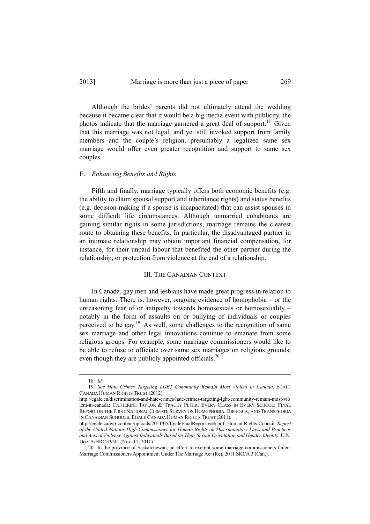#### 2013] Marriage is more than just a piece of paper 269

Although the brides' parents did not ultimately attend the wedding because it became clear that it would be a big media event with publicity, the photos indicate that the marriage garnered a great deal of support.<sup>18</sup> Given that this marriage was not legal, and yet still invoked support from family members and the couple's religion, presumably a legalized same sex marriage would offer even greater recognition and support to same sex couples.

#### E. *Enhancing Benefits and Rights*

Fifth and finally, marriage typically offers both economic benefits (e.g. the ability to claim spousal support and inheritance rights) and status benefits (e.g. decision-making if a spouse is incapacitated) that can assist spouses in some difficult life circumstances. Although unmarried cohabitants are gaining similar rights in some jurisdictions, marriage remains the clearest route to obtaining these benefits. In particular, the disadvantaged partner in an intimate relationship may obtain important financial compensation, for instance, for their unpaid labour that benefited the other partner during the relationship, or protection from violence at the end of a relationship.

#### III. THE CANADIAN CONTEXT

In Canada, gay men and lesbians have made great progress in relation to human rights. There is, however, ongoing evidence of homophobia – or the unreasoning fear of or antipathy towards homosexuals or homosexuality – notably in the form of assaults on or bullying of individuals or couples perceived to be gay.19 As well, some challenges to the recognition of same sex marriage and other legal innovations continue to emanate from some religious groups. For example, some marriage commissioners would like to be able to refuse to officiate over same sex marriages on religious grounds, even though they are publicly appointed officials.<sup>20</sup>

 <sup>18.</sup> *Id.*

 <sup>19.</sup> *See Hate Crimes Targeting LGBT Community Remain Most Violent in Canada*, EGALE CANADA HUMAN RIGHTS TRUST (2012),

http://egale.ca/discrimination-and-hate-crimes/hate-crimes-targeting-lgbt-community-remain-most-vio lent-in-canada; CATHERINE TAYLOR & TRACEY PETER, EVERY CLASS IN EVERY SCHOOL: FINAL REPORT ON THE FIRST NATIONAL CLIMATE SURVEY ON HOMOPHOBIA, BIPHOBIA, AND TRANSPHOBIA IN CANADIAN SCHOOLS, EGALE CANADA HUMAN RIGHTS TRUST (2011),

http://egale.ca/wp-content/uploads/2011/05/EgaleFinalReport-web.pdf; Human Rights Council, *Report of the United Nations High Commissioner for Human Rights on Discriminatory Laws and Practices and Acts of Violence Against Individuals Based on Their Sexual Orientation and Gender Identity*, U.N. Doc. A/HRC/19/41 (Nov. 17, 2011).

<sup>20.</sup> In the province of Saskatchewan, an effort to exempt some marriage commissioners failed: Marriage Commissioners Appointment Under The Marriage Act (Re), 2011 SKCA 3 (Can.).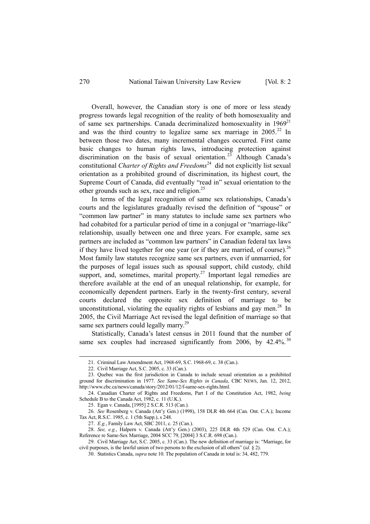Overall, however, the Canadian story is one of more or less steady progress towards legal recognition of the reality of both homosexuality and of same sex partnerships. Canada decriminalized homosexuality in  $1969^{21}$ and was the third country to legalize same sex marriage in  $2005<sup>22</sup>$  In between those two dates, many incremental changes occurred. First came basic changes to human rights laws, introducing protection against discrimination on the basis of sexual orientation.<sup>23</sup> Although Canada's constitutional *Charter of Rights and Freedoms*24 did not explicitly list sexual orientation as a prohibited ground of discrimination, its highest court, the Supreme Court of Canada, did eventually "read in" sexual orientation to the other grounds such as sex, race and religion.<sup>25</sup>

In terms of the legal recognition of same sex relationships, Canada's courts and the legislatures gradually revised the definition of "spouse" or "common law partner" in many statutes to include same sex partners who had cohabited for a particular period of time in a conjugal or "marriage-like" relationship, usually between one and three years. For example, same sex partners are included as "common law partners" in Canadian federal tax laws if they have lived together for one year (or if they are married, of course).<sup>26</sup> Most family law statutes recognize same sex partners, even if unmarried, for the purposes of legal issues such as spousal support, child custody, child support, and, sometimes, marital property.<sup>27</sup> Important legal remedies are therefore available at the end of an unequal relationship, for example, for economically dependent partners. Early in the twenty-first century, several courts declared the opposite sex definition of marriage to be unconstitutional, violating the equality rights of lesbians and gay men.<sup>28</sup> In 2005, the Civil Marriage Act revised the legal definition of marriage so that same sex partners could legally marry.<sup>29</sup>

Statistically, Canada's latest census in 2011 found that the number of same sex couples had increased significantly from 2006, by  $42.4\%$ .<sup>30</sup>

27. *E.g.*, Family Law Act, SBC 2011, c. 25 (Can.).

 $\overline{a}$ 

 <sup>21.</sup> Criminal Law Amendment Act, 1968-69, S.C. 1968-69, c. 38 (Can.).

 <sup>22.</sup> Civil Marriage Act, S.C. 2005, c. 33 (Can.).

 <sup>23.</sup> Quebec was the first jurisdiction in Canada to include sexual orientation as a prohibited ground for discrimination in 1977. *See Same-Sex Rights in Canada*, CBC NEWS, Jan. 12, 2012, http://www.cbc.ca/news/canada/story/2012/01/12/f-same-sex-rights.html.

 <sup>24.</sup> Canadian Charter of Rights and Freedoms, Part I of the Constitution Act, 1982, *being*  Schedule B to the Canada Act, 1982, c. 11 (U.K.).

 <sup>25.</sup> Egan v. Canada, [1995] 2 S.C.R. 513 (Can.).

 <sup>26.</sup> *See* Rosenberg v. Canada (Att'y Gen.) (1998), 158 DLR 4th 664 (Can. Ont. C.A.); Income Tax Act, R.S.C. 1985, c. 1 (5th Supp.), s 248.

 <sup>28.</sup> *See, e.g.*, Halpern v. Canada (Att'y Gen.) (2003), 225 DLR 4th 529 (Can. Ont. C.A.); Reference re Same-Sex Marriage, 2004 SCC 79, [2004] 3 S.C.R. 698 (Can.).

 <sup>29.</sup> Civil Marriage Act, S.C. 2005, c. 33 (Can.). The new definition of marriage is: "Marriage, for civil purposes, is the lawful union of two persons to the exclusion of all others" (*id.* § 2).

 <sup>30.</sup> Statistics Canada, *supra* note 10. The population of Canada in total is: 34, 482, 779.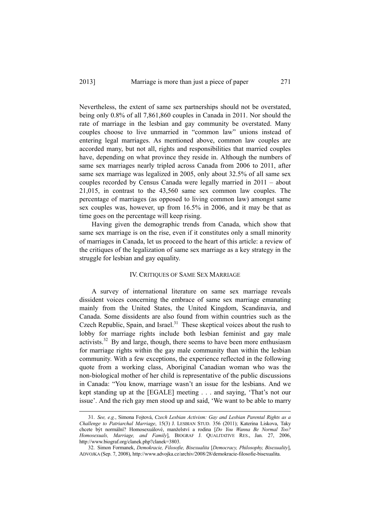Nevertheless, the extent of same sex partnerships should not be overstated, being only 0.8% of all 7,861,860 couples in Canada in 2011. Nor should the rate of marriage in the lesbian and gay community be overstated. Many couples choose to live unmarried in "common law" unions instead of entering legal marriages. As mentioned above, common law couples are accorded many, but not all, rights and responsibilities that married couples have, depending on what province they reside in. Although the numbers of same sex marriages nearly tripled across Canada from 2006 to 2011, after same sex marriage was legalized in 2005, only about 32.5% of all same sex couples recorded by Census Canada were legally married in 2011 – about 21,015, in contrast to the 43,560 same sex common law couples. The percentage of marriages (as opposed to living common law) amongst same sex couples was, however, up from 16.5% in 2006, and it may be that as time goes on the percentage will keep rising.

Having given the demographic trends from Canada, which show that same sex marriage is on the rise, even if it constitutes only a small minority of marriages in Canada, let us proceed to the heart of this article: a review of the critiques of the legalization of same sex marriage as a key strategy in the struggle for lesbian and gay equality.

#### IV. CRITIQUES OF SAME SEX MARRIAGE

A survey of international literature on same sex marriage reveals dissident voices concerning the embrace of same sex marriage emanating mainly from the United States, the United Kingdom, Scandinavia, and Canada. Some dissidents are also found from within countries such as the Czech Republic, Spain, and Israel.<sup>31</sup> These skeptical voices about the rush to lobby for marriage rights include both lesbian feminist and gay male activists.<sup>32</sup> By and large, though, there seems to have been more enthusiasm for marriage rights within the gay male community than within the lesbian community. With a few exceptions, the experience reflected in the following quote from a working class, Aboriginal Canadian woman who was the non-biological mother of her child is representative of the public discussions in Canada: "You know, marriage wasn't an issue for the lesbians. And we kept standing up at the [EGALE] meeting . . . and saying, 'That's not our issue'. And the rich gay men stood up and said, 'We want to be able to marry

 <sup>31.</sup> *See, e.g.*, Simona Fojtová, *Czech Lesbian Activism: Gay and Lesbian Parental Rights as a Challenge to Patriarchal Marriage*, 15(3) J. LESBIAN STUD. 356 (2011); Katerina Liskova, Taky chcete být normální? Homosexuálové, manželství a rodina [*Do You Wanna Be Normal Too? Homosexuals, Marriage, and Family*], BIOGRAF J. QUALITATIVE RES., Jan. 27, 2006, http://www.biograf.org/clanek.php?clanek=3803.

 <sup>32.</sup> Simon Formanek, *Demokracie, Filosofie, Bisexualita* [*Democracy, Philosophy, Bisexuality*], ADVOJKA (Sep. 7, 2008), http://www.advojka.cz/archiv/2008/28/demokracie-filosofie-bisexualita.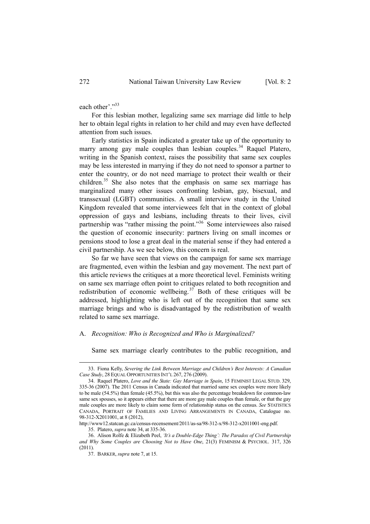each other'."33

For this lesbian mother, legalizing same sex marriage did little to help her to obtain legal rights in relation to her child and may even have deflected attention from such issues.

Early statistics in Spain indicated a greater take up of the opportunity to marry among gay male couples than lesbian couples.<sup>34</sup> Raquel Platero, writing in the Spanish context, raises the possibility that same sex couples may be less interested in marrying if they do not need to sponsor a partner to enter the country, or do not need marriage to protect their wealth or their children.<sup>35</sup> She also notes that the emphasis on same sex marriage has marginalized many other issues confronting lesbian, gay, bisexual, and transsexual (LGBT) communities. A small interview study in the United Kingdom revealed that some interviewees felt that in the context of global oppression of gays and lesbians, including threats to their lives, civil partnership was "rather missing the point."<sup>36</sup> Some interviewees also raised the question of economic insecurity: partners living on small incomes or pensions stood to lose a great deal in the material sense if they had entered a civil partnership. As we see below, this concern is real.

So far we have seen that views on the campaign for same sex marriage are fragmented, even within the lesbian and gay movement. The next part of this article reviews the critiques at a more theoretical level. Feminists writing on same sex marriage often point to critiques related to both recognition and redistribution of economic wellbeing.<sup>37</sup> Both of these critiques will be addressed, highlighting who is left out of the recognition that same sex marriage brings and who is disadvantaged by the redistribution of wealth related to same sex marriage.

#### A. *Recognition: Who is Recognized and Who is Marginalized?*

Same sex marriage clearly contributes to the public recognition, and

 $\overline{a}$ 

 <sup>33.</sup> Fiona Kelly, *Severing the Link Between Marriage and Children's Best Interests: A Canadian Case Study*, 28 EQUAL OPPORTUNITIES INT'L 267, 276 (2009).

 <sup>34.</sup> Raquel Platero, *Love and the State: Gay Marriage in Spain*, 15 FEMINIST LEGAL STUD. 329, 335-36 (2007). The 2011 Census in Canada indicated that married same sex couples were more likely to be male (54.5%) than female (45.5%), but this was also the percentage breakdown for common-law same sex spouses, so it appears either that there are more gay male couples than female, or that the gay male couples are more likely to claim some form of relationship status on the census. *See* STATISTICS CANADA, PORTRAIT OF FAMILIES AND LIVING ARRANGEMENTS IN CANADA, Catalogue no. 98-312-X2011001, at 8 (2012),

http://www12.statcan.gc.ca/census-recensement/2011/as-sa/98-312-x/98-312-x2011001-eng.pdf.

 <sup>35.</sup> Platero, *supra* note 34, at 335-36.

 <sup>36.</sup> Alison Rolfe & Elizabeth Peel, *'It's a Double-Edge Thing': The Paradox of Civil Partnership and Why Some Couples are Choosing Not to Have One*, 21(3) FEMINISM & PSYCHOL. 317, 326  $(2011)$ 

 <sup>37.</sup> BARKER, *supra* note 7, at 15.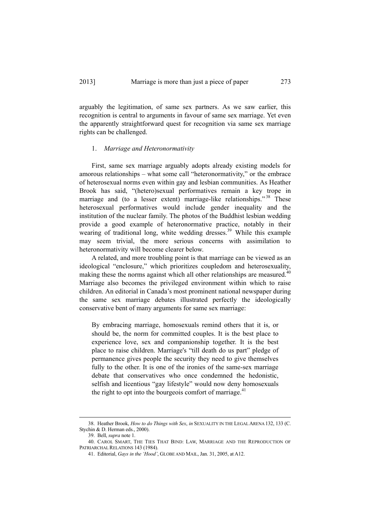arguably the legitimation, of same sex partners. As we saw earlier, this recognition is central to arguments in favour of same sex marriage. Yet even the apparently straightforward quest for recognition via same sex marriage rights can be challenged.

#### 1. *Marriage and Heteronormativity*

First, same sex marriage arguably adopts already existing models for amorous relationships – what some call "heteronormativity," or the embrace of heterosexual norms even within gay and lesbian communities. As Heather Brook has said, "(hetero)sexual performatives remain a key trope in marriage and (to a lesser extent) marriage-like relationships.<sup>38</sup> These heterosexual performatives would include gender inequality and the institution of the nuclear family. The photos of the Buddhist lesbian wedding provide a good example of heteronormative practice, notably in their wearing of traditional long, white wedding dresses.<sup>39</sup> While this example may seem trivial, the more serious concerns with assimilation to heteronormativity will become clearer below.

A related, and more troubling point is that marriage can be viewed as an ideological "enclosure," which prioritizes coupledom and heterosexuality, making these the norms against which all other relationships are measured.<sup>40</sup> Marriage also becomes the privileged environment within which to raise children. An editorial in Canada's most prominent national newspaper during the same sex marriage debates illustrated perfectly the ideologically conservative bent of many arguments for same sex marriage:

By embracing marriage, homosexuals remind others that it is, or should be, the norm for committed couples. It is the best place to experience love, sex and companionship together. It is the best place to raise children. Marriage's "till death do us part" pledge of permanence gives people the security they need to give themselves fully to the other. It is one of the ironies of the same-sex marriage debate that conservatives who once condemned the hedonistic, selfish and licentious "gay lifestyle" would now deny homosexuals the right to opt into the bourgeois comfort of marriage. $41$ 

 <sup>38.</sup> Heather Brook, *How to do Things with Sex*, *in* SEXUALITY IN THE LEGAL ARENA 132, 133 (C. Stychin & D. Herman eds., 2000).

 <sup>39.</sup> Bell, *supra* note 1.

 <sup>40.</sup> CAROL SMART, THE TIES THAT BIND: LAW, MARRIAGE AND THE REPRODUCTION OF PATRIARCHAL RELATIONS 143 (1984).

 <sup>41.</sup> Editorial, *Gays in the 'Hood'*, GLOBE AND MAIL, Jan. 31, 2005, at A12.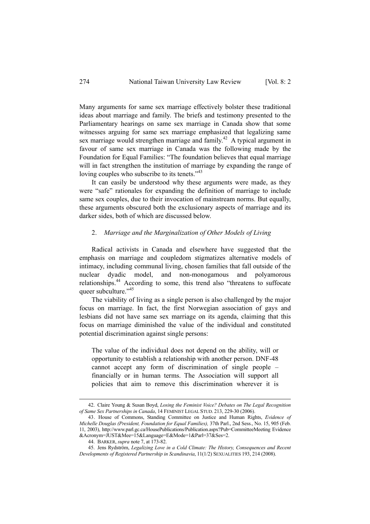Many arguments for same sex marriage effectively bolster these traditional ideas about marriage and family. The briefs and testimony presented to the Parliamentary hearings on same sex marriage in Canada show that some witnesses arguing for same sex marriage emphasized that legalizing same sex marriage would strengthen marriage and family.<sup>42</sup> A typical argument in favour of same sex marriage in Canada was the following made by the Foundation for Equal Families: "The foundation believes that equal marriage will in fact strengthen the institution of marriage by expanding the range of loving couples who subscribe to its tenets."<sup>43</sup>

It can easily be understood why these arguments were made, as they were "safe" rationales for expanding the definition of marriage to include same sex couples, due to their invocation of mainstream norms. But equally, these arguments obscured both the exclusionary aspects of marriage and its darker sides, both of which are discussed below.

#### 2. *Marriage and the Marginalization of Other Models of Living*

Radical activists in Canada and elsewhere have suggested that the emphasis on marriage and coupledom stigmatizes alternative models of intimacy, including communal living, chosen families that fall outside of the nuclear dyadic model, and non-monogamous and polyamorous relationships.44 According to some, this trend also "threatens to suffocate queer subculture."<sup>45</sup>

The viability of living as a single person is also challenged by the major focus on marriage. In fact, the first Norwegian association of gays and lesbians did not have same sex marriage on its agenda, claiming that this focus on marriage diminished the value of the individual and constituted potential discrimination against single persons:

The value of the individual does not depend on the ability, will or opportunity to establish a relationship with another person. DNF-48 cannot accept any form of discrimination of single people – financially or in human terms. The Association will support all policies that aim to remove this discrimination wherever it is

 <sup>42.</sup> Claire Young & Susan Boyd, *Losing the Feminist Voice? Debates on The Legal Recognition of Same Sex Partnerships in Canada*, 14 FEMINIST LEGAL STUD. 213, 229-30 (2006).

 <sup>43.</sup> House of Commons, Standing Committee on Justice and Human Rights, *Evidence of Michelle Douglas (President, Foundation for Equal Families),* 37th Parl., 2nd Sess., No. 15, 905 (Feb. 11, 2003), http://www.parl.gc.ca/HousePublications/Publication.aspx?Pub=CommitteeMeeting Evidence &Acronym=JUST&Mee=15&Language=E&Mode=1&Parl=37&Ses=2.

 <sup>44.</sup> BARKER, *supra* note 7, at 173-82.

 <sup>45.</sup> Jens Rydström, *Legalizing Love in a Cold Climate: The History, Consequences and Recent Developments of Registered Partnership in Scandinavia*, 11(1/2) SEXUALITIES 193, 214 (2008).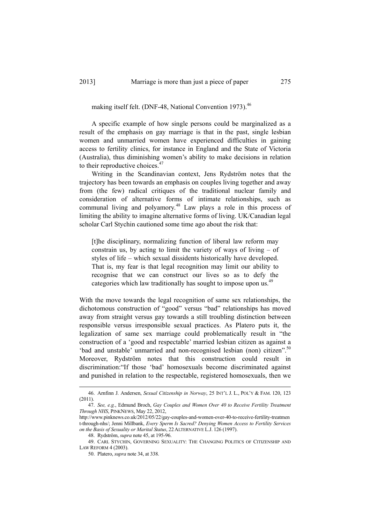making itself felt. (DNF-48, National Convention 1973).<sup>46</sup>

A specific example of how single persons could be marginalized as a result of the emphasis on gay marriage is that in the past, single lesbian women and unmarried women have experienced difficulties in gaining access to fertility clinics, for instance in England and the State of Victoria (Australia), thus diminishing women's ability to make decisions in relation to their reproductive choices.<sup>47</sup>

Writing in the Scandinavian context, Jens Rydström notes that the trajectory has been towards an emphasis on couples living together and away from (the few) radical critiques of the traditional nuclear family and consideration of alternative forms of intimate relationships, such as communal living and polyamory.<sup>48</sup> Law plays a role in this process of limiting the ability to imagine alternative forms of living. UK/Canadian legal scholar Carl Stychin cautioned some time ago about the risk that:

[t]he disciplinary, normalizing function of liberal law reform may constrain us, by acting to limit the variety of ways of living – of styles of life – which sexual dissidents historically have developed. That is, my fear is that legal recognition may limit our ability to recognise that we can construct our lives so as to defy the categories which law traditionally has sought to impose upon us.<sup>49</sup>

With the move towards the legal recognition of same sex relationships, the dichotomous construction of "good" versus "bad" relationships has moved away from straight versus gay towards a still troubling distinction between responsible versus irresponsible sexual practices. As Platero puts it, the legalization of same sex marriage could problematically result in "the construction of a 'good and respectable' married lesbian citizen as against a 'bad and unstable' unmarried and non-recognised lesbian (non) citizen".<sup>50</sup> Moreover, Rydström notes that this construction could result in discrimination:"If those 'bad' homosexuals become discriminated against and punished in relation to the respectable, registered homosexuals, then we

 <sup>46.</sup> Arnfinn J. Andersen, *Sexual Citizenship in Norway*, 25 INT'L J. L., POL'Y & FAM. 120, 123 (2011).

 <sup>47.</sup> *See, e.g.*, Edmund Broch, *Gay Couples and Women Over 40 to Receive Fertility Treatment Through NHS*, PINKNEWS, May 22, 2012,

http://www.pinknews.co.uk/2012/05/22/gay-couples-and-women-over-40-to-receive-fertility-treatmen t-through-nhs/; Jenni Millbank, *Every Sperm Is Sacred? Denying Women Access to Fertility Services on the Basis of Sexuality or Marital Status*, 22ALTERNATIVE L.J. 126 (1997).

 <sup>48.</sup> Rydström, *supra* note 45, at 195-96.

 <sup>49.</sup> CARL STYCHIN, GOVERNING SEXUALITY: THE CHANGING POLITICS OF CITIZENSHIP AND LAW REFORM 4 (2003).

 <sup>50.</sup> Platero, *supra* note 34, at 338.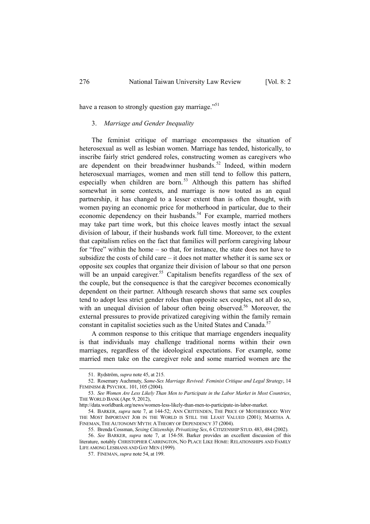have a reason to strongly question gay marriage."<sup>51</sup>

#### 3. *Marriage and Gender Inequality*

The feminist critique of marriage encompasses the situation of heterosexual as well as lesbian women. Marriage has tended, historically, to inscribe fairly strict gendered roles, constructing women as caregivers who are dependent on their breadwinner husbands.<sup>52</sup> Indeed, within modern heterosexual marriages, women and men still tend to follow this pattern, especially when children are born.<sup>53</sup> Although this pattern has shifted somewhat in some contexts, and marriage is now touted as an equal partnership, it has changed to a lesser extent than is often thought, with women paying an economic price for motherhood in particular, due to their economic dependency on their husbands.<sup>54</sup> For example, married mothers may take part time work, but this choice leaves mostly intact the sexual division of labour, if their husbands work full time. Moreover, to the extent that capitalism relies on the fact that families will perform caregiving labour for "free" within the home – so that, for instance, the state does not have to subsidize the costs of child care – it does not matter whether it is same sex or opposite sex couples that organize their division of labour so that one person will be an unpaid caregiver.<sup>55</sup> Capitalism benefits regardless of the sex of the couple, but the consequence is that the caregiver becomes economically dependent on their partner. Although research shows that same sex couples tend to adopt less strict gender roles than opposite sex couples, not all do so, with an unequal division of labour often being observed.<sup>56</sup> Moreover, the external pressures to provide privatized caregiving within the family remain constant in capitalist societies such as the United States and Canada.<sup>57</sup>

A common response to this critique that marriage engenders inequality is that individuals may challenge traditional norms within their own marriages, regardless of the ideological expectations. For example, some married men take on the caregiver role and some married women are the

 $\overline{a}$ 

 <sup>51.</sup> Rydström, *supra* note 45, at 215.

 <sup>52.</sup> Rosemary Auchmuty, *Same-Sex Marriage Revived: Feminist Critique and Legal Strategy*, 14 FEMINISM & PSYCHOL. 101, 105 (2004).

 <sup>53.</sup> *See Women Are Less Likely Than Men to Participate in the Labor Market in Most Countries*, THE WORLD BANK (Apr. 9, 2012),

http://data.worldbank.org/news/women-less-likely-than-men-to-participate-in-labor-market.

 <sup>54.</sup> BARKER, *supra* note 7, at 144-52; ANN CRITTENDEN, THE PRICE OF MOTHERHOOD: WHY THE MOST IMPORTANT JOB IN THE WORLD IS STILL THE LEAST VALUED (2001); MARTHA A. FINEMAN, THE AUTONOMY MYTH: A THEORY OF DEPENDENCY 37 (2004).

 <sup>55.</sup> Brenda Cossman, *Sexing Citizenship, Privatizing Sex*, 6 CITIZENSHIP STUD. 483, 484 (2002).

 <sup>56.</sup> *See* BARKER, *supra* note 7, at 154-58. Barker provides an excellent discussion of this literature, notably CHRISTOPHER CARRINGTON, NO PLACE LIKE HOME: RELATIONSHIPS AND FAMILY LIFE AMONG LESBIANS AND GAY MEN (1999).

 <sup>57.</sup> FINEMAN, *supra* note 54, at 199.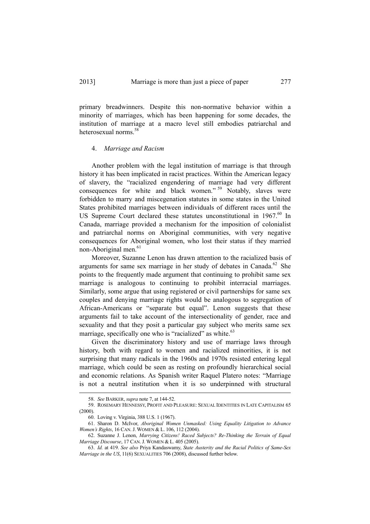primary breadwinners. Despite this non-normative behavior within a minority of marriages, which has been happening for some decades, the institution of marriage at a macro level still embodies patriarchal and heterosexual norms.<sup>58</sup>

#### 4. *Marriage and Racism*

Another problem with the legal institution of marriage is that through history it has been implicated in racist practices. Within the American legacy of slavery, the "racialized engendering of marriage had very different consequences for white and black women." 59 Notably, slaves were forbidden to marry and miscegenation statutes in some states in the United States prohibited marriages between individuals of different races until the US Supreme Court declared these statutes unconstitutional in  $1967$ .<sup>60</sup> In Canada, marriage provided a mechanism for the imposition of colonialist and patriarchal norms on Aboriginal communities, with very negative consequences for Aboriginal women, who lost their status if they married non-Aboriginal men.<sup>61</sup>

Moreover, Suzanne Lenon has drawn attention to the racialized basis of arguments for same sex marriage in her study of debates in Canada.<sup>62</sup> She points to the frequently made argument that continuing to prohibit same sex marriage is analogous to continuing to prohibit interracial marriages. Similarly, some argue that using registered or civil partnerships for same sex couples and denying marriage rights would be analogous to segregation of African-Americans or "separate but equal". Lenon suggests that these arguments fail to take account of the intersectionality of gender, race and sexuality and that they posit a particular gay subject who merits same sex marriage, specifically one who is "racialized" as white. $63$ 

Given the discriminatory history and use of marriage laws through history, both with regard to women and racialized minorities, it is not surprising that many radicals in the 1960s and 1970s resisted entering legal marriage, which could be seen as resting on profoundly hierarchical social and economic relations. As Spanish writer Raquel Platero notes: "Marriage is not a neutral institution when it is so underpinned with structural

 <sup>58.</sup> *See* BARKER, *supra* note 7, at 144-52.

 <sup>59.</sup> ROSEMARY HENNESSY, PROFIT AND PLEASURE: SEXUAL IDENTITIES IN LATE CAPITALISM 65 (2000).

 <sup>60.</sup> Loving v. Virginia, 388 U.S. 1 (1967).

 <sup>61.</sup> Sharon D. McIvor, *Aboriginal Women Unmasked: Using Equality Litigation to Advance Women's Rights*, 16 CAN.J. WOMEN & L. 106, 112 (2004).

 <sup>62.</sup> Suzanne J. Lenon, *Marrying Citizens! Raced Subjects? Re-Thinking the Terrain of Equal Marriage Discourse*, 17 CAN.J. WOMEN & L. 405 (2005).

 <sup>63.</sup> *Id.* at 419. *See also* Priya Kandaswamy, *State Austerity and the Racial Politics of Same-Sex Marriage in the US*, 11(6) SEXUALITIES 706 (2008), discussed further below.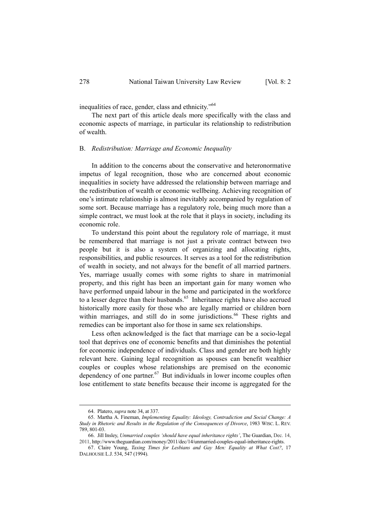inequalities of race, gender, class and ethnicity."64

The next part of this article deals more specifically with the class and economic aspects of marriage, in particular its relationship to redistribution of wealth.

#### B. *Redistribution: Marriage and Economic Inequality*

In addition to the concerns about the conservative and heteronormative impetus of legal recognition, those who are concerned about economic inequalities in society have addressed the relationship between marriage and the redistribution of wealth or economic wellbeing. Achieving recognition of one's intimate relationship is almost inevitably accompanied by regulation of some sort. Because marriage has a regulatory role, being much more than a simple contract, we must look at the role that it plays in society, including its economic role.

To understand this point about the regulatory role of marriage, it must be remembered that marriage is not just a private contract between two people but it is also a system of organizing and allocating rights, responsibilities, and public resources. It serves as a tool for the redistribution of wealth in society, and not always for the benefit of all married partners. Yes, marriage usually comes with some rights to share in matrimonial property, and this right has been an important gain for many women who have performed unpaid labour in the home and participated in the workforce to a lesser degree than their husbands.<sup>65</sup> Inheritance rights have also accrued historically more easily for those who are legally married or children born within marriages, and still do in some jurisdictions.<sup>66</sup> These rights and remedies can be important also for those in same sex relationships.

Less often acknowledged is the fact that marriage can be a socio-legal tool that deprives one of economic benefits and that diminishes the potential for economic independence of individuals. Class and gender are both highly relevant here. Gaining legal recognition as spouses can benefit wealthier couples or couples whose relationships are premised on the economic dependency of one partner. $67$  But individuals in lower income couples often lose entitlement to state benefits because their income is aggregated for the

 <sup>64.</sup> Platero, *supra* note 34, at 337.

 <sup>65.</sup> Martha A. Fineman, *Implementing Equality: Ideology, Contradiction and Social Change: A Study in Rhetoric and Results in the Regulation of the Consequences of Divorce*, 1983 WISC. L. REV. 789, 801-03.

 <sup>66.</sup> Jill Insley, *Unmarried couples 'should have equal inheritance rights'*, The Guardian, Dec. 14, 2011, http://www.theguardian.com/money/2011/dec/14/unmarried-couples-equal-inheritance-rights.

 <sup>67.</sup> Claire Young, *Taxing Times for Lesbians and Gay Men: Equality at What Cost?*, 17 DALHOUSIE L.J. 534, 547 (1994).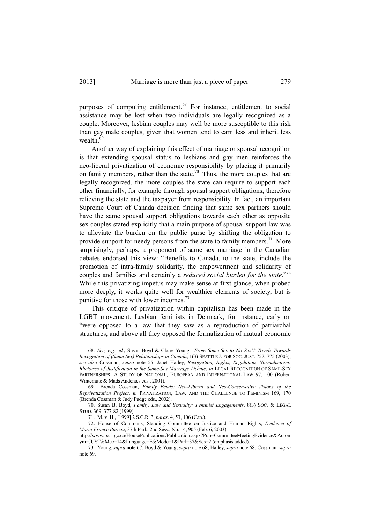purposes of computing entitlement.<sup>68</sup> For instance, entitlement to social assistance may be lost when two individuals are legally recognized as a couple. Moreover, lesbian couples may well be more susceptible to this risk than gay male couples, given that women tend to earn less and inherit less wealth.<sup>69</sup>

Another way of explaining this effect of marriage or spousal recognition is that extending spousal status to lesbians and gay men reinforces the neo-liberal privatization of economic responsibility by placing it primarily on family members, rather than the state.<sup>70</sup> Thus, the more couples that are legally recognized, the more couples the state can require to support each other financially, for example through spousal support obligations, therefore relieving the state and the taxpayer from responsibility. In fact, an important Supreme Court of Canada decision finding that same sex partners should have the same spousal support obligations towards each other as opposite sex couples stated explicitly that a main purpose of spousal support law was to alleviate the burden on the public purse by shifting the obligation to provide support for needy persons from the state to family members.<sup>71</sup> More surprisingly, perhaps, a proponent of same sex marriage in the Canadian debates endorsed this view: "Benefits to Canada, to the state, include the promotion of intra-family solidarity, the empowerment and solidarity of couples and families and certainly a *reduced social burden for the state*."72 While this privatizing impetus may make sense at first glance, when probed more deeply, it works quite well for wealthier elements of society, but is punitive for those with lower incomes.<sup>73</sup>

This critique of privatization within capitalism has been made in the LGBT movement. Lesbian feminists in Denmark, for instance, early on "were opposed to a law that they saw as a reproduction of patriarchal structures, and above all they opposed the formalization of mutual economic

 <sup>68.</sup> *See, e.g.*, *id.*; Susan Boyd & Claire Young, *'From Same-Sex to No Sex'? Trends Towards Recognition of (Same-Sex) Relationships in Canada*, 1(3) SEATTLE J. FOR SOC. JUST. 757, 775 (2003); *see also* Cossman, *supra* note 55; Janet Halley, *Recognition, Rights, Regulation, Normalisation: Rhetorics of Justification in the Same-Sex Marriage Debate*, *in* LEGAL RECOGNITION OF SAME-SEX PARTNERSHIPS: A STUDY OF NATIONAL, EUROPEAN AND INTERNATIONAL LAW 97, 100 (Robert Wintemute & Mads Andenæs eds., 2001).

 <sup>69 .</sup> Brenda Cossman, *Family Feuds: Neo-Liberal and Neo-Conservative Visions of the Reprivatization Project*, *in* PRIVATIZATION, LAW, AND THE CHALLENGE TO FEMINISM 169, 170 (Brenda Cossman & Judy Fudge eds., 2002).

 <sup>70.</sup> Susan B. Boyd, *Family, Law and Sexuality: Feminist Engagements*, 8(3) SOC. & LEGAL STUD. 369, 377-82 (1999).

 <sup>71.</sup> M. v. H., [1999] 2 S.C.R. 3, *paras*. 4, 53, 106 (Can.).

 <sup>72.</sup> House of Commons, Standing Committee on Justice and Human Rights, *Evidence of Marie-France Bureau*, 37th Parl., 2nd Sess., No. 14, 905 (Feb. 6, 2003),

http://www.parl.gc.ca/HousePublications/Publication.aspx?Pub=CommitteeMeetingEvidence&Acron ym=JUST&Mee=14&Language=E&Mode=1&Parl=37&Ses=2 (emphasis added).

 <sup>73.</sup> Young, *supra* note 67; Boyd & Young, *supra* note 68; Halley, *supra* note 68; Cossman, *supra*  note 69.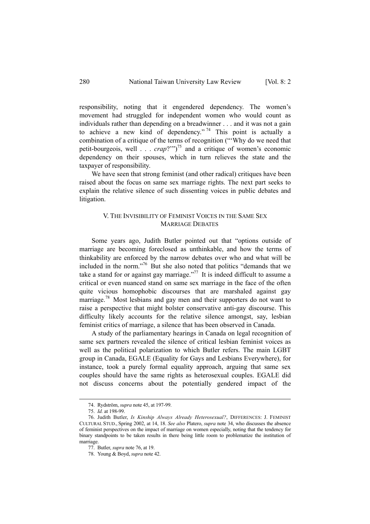responsibility, noting that it engendered dependency. The women's movement had struggled for independent women who would count as individuals rather than depending on a breadwinner . . . and it was not a gain to achieve a new kind of dependency."<sup>74</sup> This point is actually a combination of a critique of the terms of recognition ("'Why do we need that petit-bourgeois, well  $\ldots$  *crap*?"<sup>35</sup> and a critique of women's economic dependency on their spouses, which in turn relieves the state and the taxpayer of responsibility.

We have seen that strong feminist (and other radical) critiques have been raised about the focus on same sex marriage rights. The next part seeks to explain the relative silence of such dissenting voices in public debates and litigation.

#### V. THE INVISIBILITY OF FEMINIST VOICES IN THE SAME SEX MARRIAGE DEBATES

Some years ago, Judith Butler pointed out that "options outside of marriage are becoming foreclosed as unthinkable, and how the terms of thinkability are enforced by the narrow debates over who and what will be included in the norm."76 But she also noted that politics "demands that we take a stand for or against gay marriage."<sup>77</sup> It is indeed difficult to assume a critical or even nuanced stand on same sex marriage in the face of the often quite vicious homophobic discourses that are marshaled against gay marriage.<sup>78</sup> Most lesbians and gay men and their supporters do not want to raise a perspective that might bolster conservative anti-gay discourse. This difficulty likely accounts for the relative silence amongst, say, lesbian feminist critics of marriage, a silence that has been observed in Canada.

A study of the parliamentary hearings in Canada on legal recognition of same sex partners revealed the silence of critical lesbian feminist voices as well as the political polarization to which Butler refers. The main LGBT group in Canada, EGALE (Equality for Gays and Lesbians Everywhere), for instance, took a purely formal equality approach, arguing that same sex couples should have the same rights as heterosexual couples. EGALE did not discuss concerns about the potentially gendered impact of the

 <sup>74.</sup> Rydström, *supra* note 45, at 197-99.

 <sup>75.</sup> *Id.* at 198-99.

 <sup>76.</sup> Judith Butler, *Is Kinship Always Already Heterosexual?*, DIFFERENCES: J. FEMINIST CULTURAL STUD., Spring 2002, at 14, 18. *See also* Platero, *supra* note 34, who discusses the absence of feminist perspectives on the impact of marriage on women especially, noting that the tendency for binary standpoints to be taken results in there being little room to problematize the institution of marriage.

 <sup>77.</sup> Butler, *supra* note 76, at 19.

 <sup>78.</sup> Young & Boyd, *supra* note 42.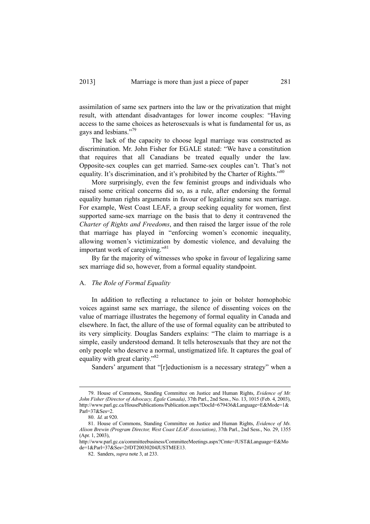assimilation of same sex partners into the law or the privatization that might result, with attendant disadvantages for lower income couples: "Having access to the same choices as heterosexuals is what is fundamental for us, as gays and lesbians."<sup>79</sup>

The lack of the capacity to choose legal marriage was constructed as discrimination. Mr. John Fisher for EGALE stated: "We have a constitution that requires that all Canadians be treated equally under the law. Opposite-sex couples can get married. Same-sex couples can't. That's not equality. It's discrimination, and it's prohibited by the Charter of Rights."<sup>80</sup>

More surprisingly, even the few feminist groups and individuals who raised some critical concerns did so, as a rule, after endorsing the formal equality human rights arguments in favour of legalizing same sex marriage. For example, West Coast LEAF, a group seeking equality for women, first supported same-sex marriage on the basis that to deny it contravened the *Charter of Rights and Freedoms*, and then raised the larger issue of the role that marriage has played in "enforcing women's economic inequality, allowing women's victimization by domestic violence, and devaluing the important work of caregiving."<sup>81</sup>

By far the majority of witnesses who spoke in favour of legalizing same sex marriage did so, however, from a formal equality standpoint.

#### A. *The Role of Formal Equality*

In addition to reflecting a reluctance to join or bolster homophobic voices against same sex marriage, the silence of dissenting voices on the value of marriage illustrates the hegemony of formal equality in Canada and elsewhere. In fact, the allure of the use of formal equality can be attributed to its very simplicity. Douglas Sanders explains: "The claim to marriage is a simple, easily understood demand. It tells heterosexuals that they are not the only people who deserve a normal, unstigmatized life. It captures the goal of equality with great clarity."<sup>82</sup>

Sanders' argument that "[r]eductionism is a necessary strategy" when a

 <sup>79.</sup> House of Commons, Standing Committee on Justice and Human Rights, *Evidence of Mr. John Fisher (Director of Advocacy, Egale Canada)*, 37th Parl., 2nd Sess., No. 13, 1015 (Feb. 4, 2003), http://www.parl.gc.ca/HousePublications/Publication.aspx?DocId=679436&Language=E&Mode=1&  $Parl=37&Ses=2$ .

 <sup>80.</sup> *Id.* at 920.

 <sup>81.</sup> House of Commons, Standing Committee on Justice and Human Rights, *Evidence of Ms. Alison Brewin (Program Director, West Coast LEAF Association)*, 37th Parl., 2nd Sess., No. 29, 1355 (Apr. 1, 2003),

http://www.parl.gc.ca/committeebusiness/CommitteeMeetings.aspx?Cmte=JUST&Language=E&Mo de=1&Parl=37&Ses=2#DT20030204JUSTMEE13.

 <sup>82.</sup> Sanders, *supra* note 3, at 233.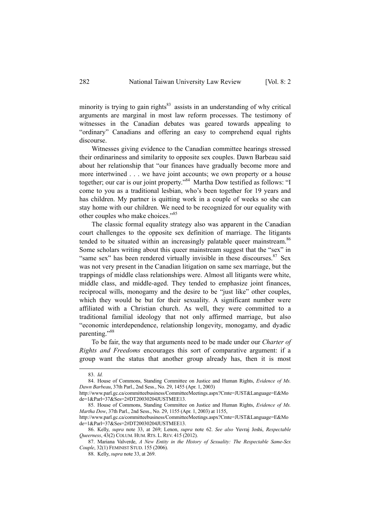minority is trying to gain rights $83$  assists in an understanding of why critical arguments are marginal in most law reform processes. The testimony of witnesses in the Canadian debates was geared towards appealing to "ordinary" Canadians and offering an easy to comprehend equal rights discourse.

Witnesses giving evidence to the Canadian committee hearings stressed their ordinariness and similarity to opposite sex couples. Dawn Barbeau said about her relationship that "our finances have gradually become more and more intertwined . . . we have joint accounts; we own property or a house together; our car is our joint property."<sup>84</sup> Martha Dow testified as follows: "I come to you as a traditional lesbian, who's been together for 19 years and has children. My partner is quitting work in a couple of weeks so she can stay home with our children. We need to be recognized for our equality with other couples who make choices."85

The classic formal equality strategy also was apparent in the Canadian court challenges to the opposite sex definition of marriage. The litigants tended to be situated within an increasingly palatable queer mainstream.<sup>86</sup> Some scholars writing about this queer mainstream suggest that the "sex" in "same sex" has been rendered virtually invisible in these discourses.  $87$  Sex was not very present in the Canadian litigation on same sex marriage, but the trappings of middle class relationships were. Almost all litigants were white, middle class, and middle-aged. They tended to emphasize joint finances, reciprocal wills, monogamy and the desire to be "just like" other couples, which they would be but for their sexuality. A significant number were affiliated with a Christian church. As well, they were committed to a traditional familial ideology that not only affirmed marriage, but also "economic interdependence, relationship longevity, monogamy, and dyadic parenting."88

To be fair, the way that arguments need to be made under our *Charter of Rights and Freedoms* encourages this sort of comparative argument: if a group want the status that another group already has, then it is most

 <sup>83.</sup> *Id.*

 <sup>84.</sup> House of Commons, Standing Committee on Justice and Human Rights, *Evidence of Ms. Dawn Barbeau*, 37th Parl., 2nd Sess., No. 29, 1455 (Apr. 1, 2003)

http://www.parl.gc.ca/committeebusiness/CommitteeMeetings.aspx?Cmte=JUST&Language=E&Mo de=1&Parl=37&Ses=2#DT20030204JUSTMEE13.

 <sup>85.</sup> House of Commons, Standing Committee on Justice and Human Rights, *Evidence of Ms. Martha Dow*, 37th Parl., 2nd Sess., No. 29, 1155 (Apr. 1, 2003) at 1155,

http://www.parl.gc.ca/committeebusiness/CommitteeMeetings.aspx?Cmte=JUST&Language=E&Mo de=1&Parl=37&Ses=2#DT20030204JUSTMEE13.

 <sup>86.</sup> Kelly, *supra* note 33, at 269; Lenon, *supra* note 62. *See also* Yuvraj Joshi, *Respectable Queerness*, 43(2) COLUM. HUM. RTS. L. REV. 415 (2012).

 <sup>87.</sup> Mariana Valverde, *A New Entity in the History of Sexuality: The Respectable Same-Sex Couple*, 32(1) FEMINIST STUD. 155 (2006).

 <sup>88.</sup> Kelly, *supra* note 33, at 269.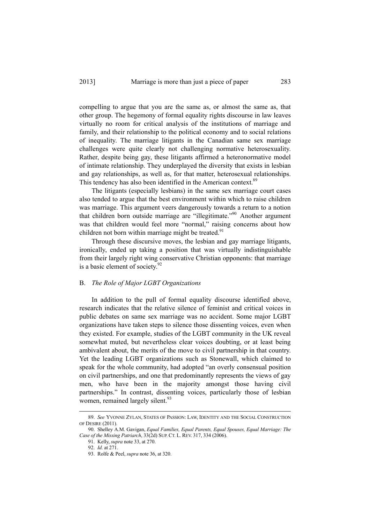compelling to argue that you are the same as, or almost the same as, that other group. The hegemony of formal equality rights discourse in law leaves virtually no room for critical analysis of the institutions of marriage and family, and their relationship to the political economy and to social relations of inequality. The marriage litigants in the Canadian same sex marriage challenges were quite clearly not challenging normative heterosexuality. Rather, despite being gay, these litigants affirmed a heteronormative model of intimate relationship. They underplayed the diversity that exists in lesbian and gay relationships, as well as, for that matter, heterosexual relationships. This tendency has also been identified in the American context.<sup>89</sup>

The litigants (especially lesbians) in the same sex marriage court cases also tended to argue that the best environment within which to raise children was marriage. This argument veers dangerously towards a return to a notion that children born outside marriage are "illegitimate."90 Another argument was that children would feel more "normal," raising concerns about how children not born within marriage might be treated. $91$ 

Through these discursive moves, the lesbian and gay marriage litigants, ironically, ended up taking a position that was virtually indistinguishable from their largely right wing conservative Christian opponents: that marriage is a basic element of society.<sup>92</sup>

#### B. *The Role of Major LGBT Organizations*

In addition to the pull of formal equality discourse identified above, research indicates that the relative silence of feminist and critical voices in public debates on same sex marriage was no accident. Some major LGBT organizations have taken steps to silence those dissenting voices, even when they existed. For example, studies of the LGBT community in the UK reveal somewhat muted, but nevertheless clear voices doubting, or at least being ambivalent about, the merits of the move to civil partnership in that country. Yet the leading LGBT organizations such as Stonewall, which claimed to speak for the whole community, had adopted "an overly consensual position on civil partnerships, and one that predominantly represents the views of gay men, who have been in the majority amongst those having civil partnerships." In contrast, dissenting voices, particularly those of lesbian women, remained largely silent.<sup>93</sup>

 <sup>89.</sup> *See* YVONNE ZYLAN, STATES OF PASSION: LAW, IDENTITY AND THE SOCIAL CONSTRUCTION OF DESIRE (2011).

 <sup>90.</sup> Shelley A.M. Gavigan, *Equal Families, Equal Parents, Equal Spouses, Equal Marriage: The Case of the Missing Patriarch*, 33(2d) SUP. CT. L. REV. 317, 334 (2006).

 <sup>91.</sup> Kelly, *supra* note 33, at 270.

 <sup>92.</sup> *Id.* at 271.

 <sup>93.</sup> Rolfe & Peel, *supra* note 36, at 320.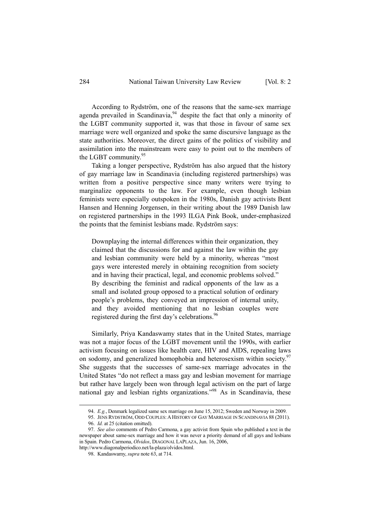According to Rydström, one of the reasons that the same-sex marriage agenda prevailed in Scandinavia,  $94$  despite the fact that only a minority of the LGBT community supported it, was that those in favour of same sex marriage were well organized and spoke the same discursive language as the state authorities. Moreover, the direct gains of the politics of visibility and assimilation into the mainstream were easy to point out to the members of the LGBT community.<sup>95</sup>

Taking a longer perspective, Rydström has also argued that the history of gay marriage law in Scandinavia (including registered partnerships) was written from a positive perspective since many writers were trying to marginalize opponents to the law. For example, even though lesbian feminists were especially outspoken in the 1980s, Danish gay activists Bent Hansen and Henning Jorgensen, in their writing about the 1989 Danish law on registered partnerships in the 1993 ILGA Pink Book, under-emphasized the points that the feminist lesbians made. Rydström says:

Downplaying the internal differences within their organization, they claimed that the discussions for and against the law within the gay and lesbian community were held by a minority, whereas "most gays were interested merely in obtaining recognition from society and in having their practical, legal, and economic problems solved." By describing the feminist and radical opponents of the law as a small and isolated group opposed to a practical solution of ordinary people's problems, they conveyed an impression of internal unity, and they avoided mentioning that no lesbian couples were registered during the first day's celebrations.<sup>96</sup>

Similarly, Priya Kandaswamy states that in the United States, marriage was not a major focus of the LGBT movement until the 1990s, with earlier activism focusing on issues like health care, HIV and AIDS, repealing laws on sodomy, and generalized homophobia and heterosexism within society.<sup>97</sup> She suggests that the successes of same-sex marriage advocates in the United States "do not reflect a mass gay and lesbian movement for marriage but rather have largely been won through legal activism on the part of large national gay and lesbian rights organizations."98 As in Scandinavia, these

 <sup>94.</sup> *E.g.*, Denmark legalized same sex marriage on June 15, 2012; Sweden and Norway in 2009.

 <sup>95.</sup> JENS RYDSTRÖM, ODD COUPLES:AHISTORY OF GAY MARRIAGE IN SCANDINAVIA 88 (2011). 96. *Id.* at 25 (citation omitted).

 <sup>97.</sup> *See also* comments of Pedro Carmona, a gay activist from Spain who published a text in the newspaper about same-sex marriage and how it was never a priority demand of all gays and lesbians in Spain. Pedro Carmona, *Olvidos*, DIAGONAL LAPLAZA, Jun. 16, 2006,

http://www.diagonalperiodico.net/la-plaza/olvidos.html.

 <sup>98.</sup> Kandaswamy, *supra* note 63, at 714.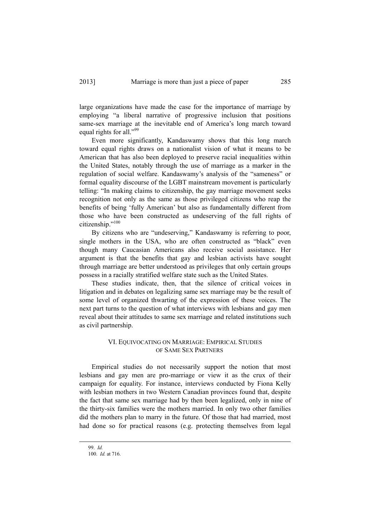large organizations have made the case for the importance of marriage by employing "a liberal narrative of progressive inclusion that positions same-sex marriage at the inevitable end of America's long march toward equal rights for all."<sup>99</sup>

Even more significantly, Kandaswamy shows that this long march toward equal rights draws on a nationalist vision of what it means to be American that has also been deployed to preserve racial inequalities within the United States, notably through the use of marriage as a marker in the regulation of social welfare. Kandaswamy's analysis of the "sameness" or formal equality discourse of the LGBT mainstream movement is particularly telling: "In making claims to citizenship, the gay marriage movement seeks recognition not only as the same as those privileged citizens who reap the benefits of being 'fully American' but also as fundamentally different from those who have been constructed as undeserving of the full rights of citizenship."<sup>100</sup>

By citizens who are "undeserving," Kandaswamy is referring to poor, single mothers in the USA, who are often constructed as "black" even though many Caucasian Americans also receive social assistance. Her argument is that the benefits that gay and lesbian activists have sought through marriage are better understood as privileges that only certain groups possess in a racially stratified welfare state such as the United States.

These studies indicate, then, that the silence of critical voices in litigation and in debates on legalizing same sex marriage may be the result of some level of organized thwarting of the expression of these voices. The next part turns to the question of what interviews with lesbians and gay men reveal about their attitudes to same sex marriage and related institutions such as civil partnership.

#### VI. EQUIVOCATING ON MARRIAGE: EMPIRICAL STUDIES OF SAME SEX PARTNERS

Empirical studies do not necessarily support the notion that most lesbians and gay men are pro-marriage or view it as the crux of their campaign for equality. For instance, interviews conducted by Fiona Kelly with lesbian mothers in two Western Canadian provinces found that, despite the fact that same sex marriage had by then been legalized, only in nine of the thirty-six families were the mothers married. In only two other families did the mothers plan to marry in the future. Of those that had married, most had done so for practical reasons (e.g. protecting themselves from legal

 <sup>99.</sup> *Id.* 100. *Id.* at 716.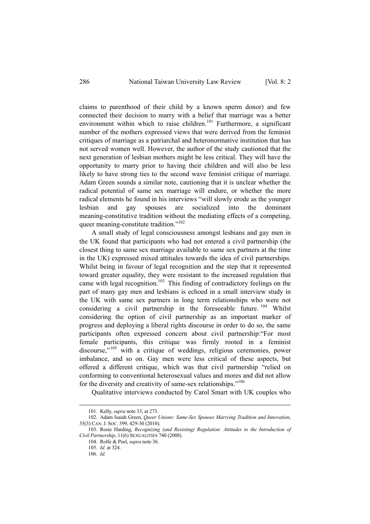claims to parenthood of their child by a known sperm donor) and few connected their decision to marry with a belief that marriage was a better environment within which to raise children.<sup>101</sup> Furthermore, a significant number of the mothers expressed views that were derived from the feminist critiques of marriage as a patriarchal and heteronormative institution that has not served women well. However, the author of the study cautioned that the next generation of lesbian mothers might be less critical. They will have the opportunity to marry prior to having their children and will also be less likely to have strong ties to the second wave feminist critique of marriage. Adam Green sounds a similar note, cautioning that it is unclear whether the radical potential of same sex marriage will endure, or whether the more radical elements he found in his interviews "will slowly erode as the younger lesbian and gay spouses are socialized into the dominant meaning-constitutive tradition without the mediating effects of a competing, queer meaning-constitute tradition."<sup>102</sup>

A small study of legal consciousness amongst lesbians and gay men in the UK found that participants who had not entered a civil partnership (the closest thing to same sex marriage available to same sex partners at the time in the UK) expressed mixed attitudes towards the idea of civil partnerships. Whilst being in favour of legal recognition and the step that it represented toward greater equality, they were resistant to the increased regulation that came with legal recognition.<sup>103</sup> This finding of contradictory feelings on the part of many gay men and lesbians is echoed in a small interview study in the UK with same sex partners in long term relationships who were not considering a civil partnership in the foreseeable future. <sup>104</sup> Whilst considering the option of civil partnership as an important marker of progress and deploying a liberal rights discourse in order to do so, the same participants often expressed concern about civil partnership:"For most female participants, this critique was firmly rooted in a feminist discourse,"105 with a critique of weddings, religious ceremonies, power imbalance, and so on. Gay men were less critical of these aspects, but offered a different critique, which was that civil partnership "relied on conforming to conventional heterosexual values and mores and did not allow for the diversity and creativity of same-sex relationships."<sup>106</sup>

Qualitative interviews conducted by Carol Smart with UK couples who

 <sup>101.</sup> Kelly, *supra* note 33, at 273.

 <sup>102.</sup> Adam Isaiah Green, *Queer Unions: Same-Sex Spouses Marrying Tradition and Innovation*, 35(3) CAN.J. SOC. 399, 429-30 (2010).

 <sup>103.</sup> Rosie Harding, *Recognizing (and Resisting) Regulation: Attitudes to the Introduction of Civil Partnership*, 11(6) SEXUALITIES 740 (2008).

 <sup>104.</sup> Rolfe & Peel, *supra* note 36.

 <sup>105.</sup> *Id.* at 324.

 <sup>106.</sup> *Id.*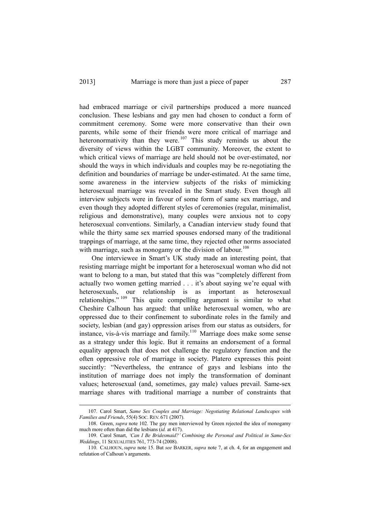had embraced marriage or civil partnerships produced a more nuanced conclusion. These lesbians and gay men had chosen to conduct a form of commitment ceremony. Some were more conservative than their own parents, while some of their friends were more critical of marriage and heteronormativity than they were.  $107$  This study reminds us about the diversity of views within the LGBT community. Moreover, the extent to which critical views of marriage are held should not be over-estimated, nor should the ways in which individuals and couples may be re-negotiating the definition and boundaries of marriage be under-estimated. At the same time, some awareness in the interview subjects of the risks of mimicking heterosexual marriage was revealed in the Smart study. Even though all interview subjects were in favour of some form of same sex marriage, and even though they adopted different styles of ceremonies (regular, minimalist, religious and demonstrative), many couples were anxious not to copy heterosexual conventions. Similarly, a Canadian interview study found that while the thirty same sex married spouses endorsed many of the traditional trappings of marriage, at the same time, they rejected other norms associated with marriage, such as monogamy or the division of labour.<sup>108</sup>

One interviewee in Smart's UK study made an interesting point, that resisting marriage might be important for a heterosexual woman who did not want to belong to a man, but stated that this was "completely different from actually two women getting married . . . it's about saying we're equal with heterosexuals, our relationship is as important as heterosexual relationships."<sup>109</sup> This quite compelling argument is similar to what Cheshire Calhoun has argued: that unlike heterosexual women, who are oppressed due to their confinement to subordinate roles in the family and society, lesbian (and gay) oppression arises from our status as outsiders, for instance, vis-à-vis marriage and family.110 Marriage does make some sense as a strategy under this logic. But it remains an endorsement of a formal equality approach that does not challenge the regulatory function and the often oppressive role of marriage in society. Platero expresses this point succintly: "Nevertheless, the entrance of gays and lesbians into the institution of marriage does not imply the transformation of dominant values; heterosexual (and, sometimes, gay male) values prevail. Same-sex marriage shares with traditional marriage a number of constraints that

 <sup>107.</sup> Carol Smart, *Same Sex Couples and Marriage: Negotiating Relational Landscapes with Families and Friends*, 55(4) SOC. REV. 671 (2007).

 <sup>108.</sup> Green, *supra* note 102. The gay men interviewed by Green rejected the idea of monogamy much more often than did the lesbians (*id.* at 417).

 <sup>109.</sup> Carol Smart, *'Can I Be Bridesmaid?' Combining the Personal and Political in Same-Sex Weddings*, 11 SEXUALITIES 761, 773-74 (2008).

 <sup>110.</sup> CALHOUN, *supra* note 15. But *see* BARKER, *supra* note 7, at ch. 4, for an engagement and refutation of Calhoun's arguments.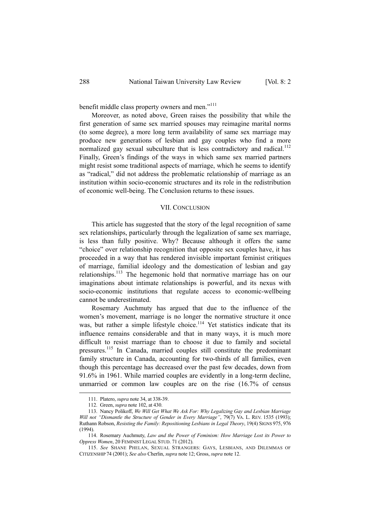benefit middle class property owners and men."<sup>111</sup>

Moreover, as noted above, Green raises the possibility that while the first generation of same sex married spouses may reimagine marital norms (to some degree), a more long term availability of same sex marriage may produce new generations of lesbian and gay couples who find a more normalized gay sexual subculture that is less contradictory and radical.<sup>112</sup> Finally, Green's findings of the ways in which same sex married partners might resist some traditional aspects of marriage, which he seems to identify as "radical," did not address the problematic relationship of marriage as an institution within socio-economic structures and its role in the redistribution of economic well-being. The Conclusion returns to these issues.

#### VII. CONCLUSION

This article has suggested that the story of the legal recognition of same sex relationships, particularly through the legalization of same sex marriage, is less than fully positive. Why? Because although it offers the same "choice" over relationship recognition that opposite sex couples have, it has proceeded in a way that has rendered invisible important feminist critiques of marriage, familial ideology and the domestication of lesbian and gay relationships.113 The hegemonic hold that normative marriage has on our imaginations about intimate relationships is powerful, and its nexus with socio-economic institutions that regulate access to economic-wellbeing cannot be underestimated.

Rosemary Auchmuty has argued that due to the influence of the women's movement, marriage is no longer the normative structure it once was, but rather a simple lifestyle choice.<sup>114</sup> Yet statistics indicate that its influence remains considerable and that in many ways, it is much more difficult to resist marriage than to choose it due to family and societal pressures.115 In Canada, married couples still constitute the predominant family structure in Canada, accounting for two-thirds of all families, even though this percentage has decreased over the past few decades, down from 91.6% in 1961. While married couples are evidently in a long-term decline, unmarried or common law couples are on the rise (16.7% of census

 <sup>111.</sup> Platero, *supra* note 34, at 338-39.

 <sup>112.</sup> Green, *supra* note 102, at 430.

 <sup>113.</sup> Nancy Polikoff, *We Will Get What We Ask For: Why Legalizing Gay and Lesbian Marriage Will not "Dismantle the Structure of Gender in Every Marriage"*, 79(7) VA. L. REV. 1535 (1993); Ruthann Robson, *Resisting the Family: Repositioning Lesbians in Legal Theory*, 19(4) SIGNS 975, 976 (1994).

 <sup>114.</sup> Rosemary Auchmuty, *Law and the Power of Feminism: How Marriage Lost its Power to Oppress Women*, 20 FEMINIST LEGAL STUD. 71 (2012).

 <sup>115.</sup> *See* SHANE PHELAN, SEXUAL STRANGERS: GAYS, LESBIANS, AND DILEMMAS OF CITIZENSHIP 74 (2001); *See also* Cherlin, *supra* note 12; Gross, *supra* note 12.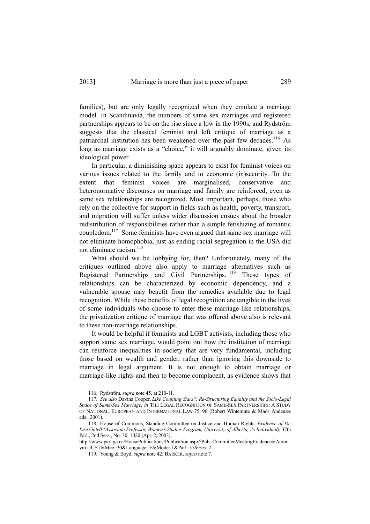families), but are only legally recognized when they emulate a marriage model. In Scandinavia, the numbers of same sex marriages and registered partnerships appears to be on the rise since a low in the 1990s, and Rydström suggests that the classical feminist and left critique of marriage as a patriarchal institution has been weakened over the past few decades.<sup>116</sup> As long as marriage exists as a "choice," it will arguably dominate, given its ideological power.

In particular, a diminishing space appears to exist for feminist voices on various issues related to the family and to economic (in)security. To the extent that feminist voices are marginalised, conservative and heteronormative discourses on marriage and family are reinforced, even as same sex relationships are recognized. Most important, perhaps, those who rely on the collective for support in fields such as health, poverty, transport, and migration will suffer unless wider discussion ensues about the broader redistribution of responsibilities rather than a simple fetishizing of romantic coupledom.117 Some feminists have even argued that same sex marriage will not eliminate homophobia, just as ending racial segregation in the USA did not eliminate racism.<sup>118</sup>

What should we be lobbying for, then? Unfortunately, many of the critiques outlined above also apply to marriage alternatives such as Registered Partnerships and Civil Partnerships. <sup>119</sup> These types of relationships can be characterized by economic dependency, and a vulnerable spouse may benefit from the remedies available due to legal recognition. While these benefits of legal recognition are tangible in the lives of some individuals who choose to enter these marriage-like relationships, the privatization critique of marriage that was offered above also is relevant to these non-marriage relationships.

It would be helpful if feminists and LGBT activists, including those who support same sex marriage, would point out how the institution of marriage can reinforce inequalities in society that are very fundamental, including those based on wealth and gender, rather than ignoring this downside to marriage in legal argument. It is not enough to obtain marriage or marriage-like rights and then to become complacent, as evidence shows that

 <sup>116.</sup> Rydström, *supra* note 45, at 210-11.

 <sup>117.</sup> *See also* Davina Cooper, *Like Counting Stars?: Re-Structuring Equality and the Socio-Legal Space of Same-Sex Marriage*, *in* THE LEGAL RECOGNITION OF SAME-SEX PARTNERSHIPS: A STUDY OF NATIONAL, EUROPEAN AND INTERNATIONAL LAW 75, 96 (Robert Wintemute & Mads Andenæs eds., 2001).

 <sup>118.</sup> House of Commons, Standing Committee on Justice and Human Rights, *Evidence of Dr. Lise Gotell (Associate Professor, Women's Studies Program, University of Alberta, As Individual)*, 37th Parl., 2nd Sess., No. 30, 1020 (Apr. 2, 2003),

http://www.parl.gc.ca/HousePublications/Publication.aspx?Pub=CommitteeMeetingEvidence&Acron ym=JUST&Mee=30&Language=E&Mode=1&Parl=37&Ses=2.

 <sup>119.</sup> Young & Boyd, *supra* note 42; BARKER, *supra* note 7.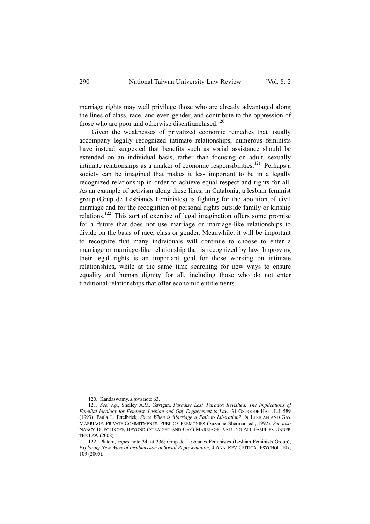marriage rights may well privilege those who are already advantaged along the lines of class, race, and even gender, and contribute to the oppression of those who are poor and otherwise disenfranchised. $120$ 

Given the weaknesses of privatized economic remedies that usually accompany legally recognized intimate relationships, numerous feminists have instead suggested that benefits such as social assistance should be extended on an individual basis, rather than focusing on adult, sexually intimate relationships as a marker of economic responsibilities.<sup>121</sup> Perhaps a society can be imagined that makes it less important to be in a legally recognized relationship in order to achieve equal respect and rights for all. As an example of activism along these lines, in Catalonia, a lesbian feminist group (Grup de Lesbianes Feministes) is fighting for the abolition of civil marriage and for the recognition of personal rights outside family or kinship relations.122 This sort of exercise of legal imagination offers some promise for a future that does not use marriage or marriage-like relationships to divide on the basis of race, class or gender. Meanwhile, it will be important to recognize that many individuals will continue to choose to enter a marriage or marriage-like relationship that is recognized by law. Improving their legal rights is an important goal for those working on intimate relationships, while at the same time searching for new ways to ensure equality and human dignity for all, including those who do not enter traditional relationships that offer economic entitlements.

 <sup>120.</sup> Kandaswamy, *supra* note 63.

 <sup>121.</sup> *See, e.g.*, Shelley A.M. Gavigan, *Paradise Lost, Paradox Revisited: The Implications of Familial Ideology for Feminist, Lesbian and Gay Engagement to Law*, 31 OSGOODE HALL L.J. 589 (1993); Paula L. Ettelbrick*, Since When is Marriage a Path to Liberation?*, *in* LESBIAN AND GAY MARRIAGE: PRIVATE COMMITMENTS, PUBLIC CEREMONIES (Suzanne Sherman ed., 1992). *See also* NANCY D. POLIKOFF, BEYOND (STRAIGHT AND GAY) MARRIAGE: VALUING ALL FAMILIES UNDER THE LAW (2008).

 <sup>122.</sup> Platero, *supra* note 34, at 336; Grup de Lesbianes Feministes (Lesbian Feminists Group), *Exploring New Ways of Insubmission in Social Representation*, 4 ANN. REV. CRITICAL PSYCHOL. 107, 109 (2005).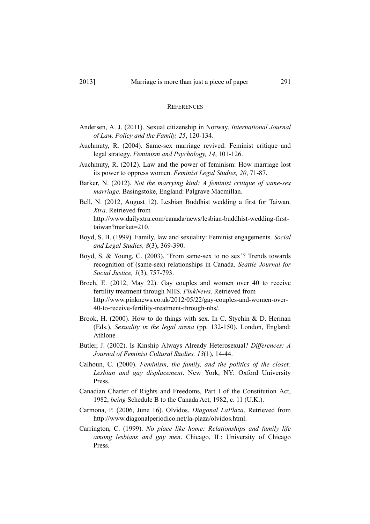#### **REFERENCES**

- Andersen, A. J. (2011). Sexual citizenship in Norway. *International Journal of Law, Policy and the Family, 25*, 120-134.
- Auchmuty, R. (2004). Same-sex marriage revived: Feminist critique and legal strategy. *Feminism and Psychology, 14*, 101-126.
- Auchmuty, R. (2012). Law and the power of feminism: How marriage lost its power to oppress women. *Feminist Legal Studies, 20*, 71-87.
- Barker, N. (2012). *Not the marrying kind: A feminist critique of same-sex marriage*. Basingstoke, England: Palgrave Macmillan.
- Bell, N. (2012, August 12). Lesbian Buddhist wedding a first for Taiwan. *Xtra*. Retrieved from http://www.dailyxtra.com/canada/news/lesbian-buddhist-wedding-firsttaiwan?market=210.
- Boyd, S. B. (1999). Family, law and sexuality: Feminist engagements. *Social and Legal Studies, 8*(3), 369-390.
- Boyd, S. & Young, C. (2003). 'From same-sex to no sex'? Trends towards recognition of (same-sex) relationships in Canada. *Seattle Journal for Social Justice, 1*(3), 757-793.
- Broch, E. (2012, May 22). Gay couples and women over 40 to receive fertility treatment through NHS. *PinkNews*. Retrieved from http://www.pinknews.co.uk/2012/05/22/gay-couples-and-women-over-40-to-receive-fertility-treatment-through-nhs/.
- Brook, H. (2000). How to do things with sex. In C. Stychin & D. Herman (Eds.), *Sexuality in the legal arena* (pp. 132-150). London, England: Athlone .
- Butler, J. (2002). Is Kinship Always Already Heterosexual? *Differences: A Journal of Feminist Cultural Studies, 13*(1), 14-44.
- Calhoun, C. (2000). *Feminism, the family, and the politics of the closet: Lesbian and gay displacement*. New York, NY: Oxford University Press.
- Canadian Charter of Rights and Freedoms, Part I of the Constitution Act, 1982, *being* Schedule B to the Canada Act, 1982, c. 11 (U.K.).
- Carmona, P. (2006, June 16). Olvidos. *Diagonal LaPlaza*. Retrieved from http://www.diagonalperiodico.net/la-plaza/olvidos.html.
- Carrington, C. (1999). *No place like home: Relationships and family life among lesbians and gay men*. Chicago, IL: University of Chicago Press.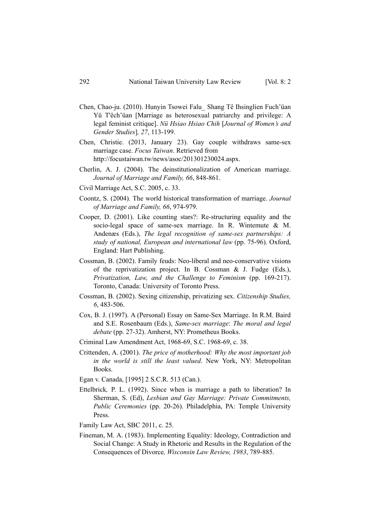- Chen, Chao-ju. (2010). Hunyin Tsowei Falu\_ Shang Tê Ihsinglien Fuch'üan Yü T'êch'üan [Marriage as heterosexual patriarchy and privilege: A legal feminist critique]. *Nü Hsiao Hsiao Chih* [*Journal of Women's and Gender Studies*]*, 27*, 113-199.
- Chen, Christie. (2013, January 23). Gay couple withdraws same-sex marriage case. *Focus Taiwan*. Retrieved from http://focustaiwan.tw/news/asoc/201301230024.aspx.
- Cherlin, A. J. (2004). The deinstitutionalization of American marriage. *Journal of Marriage and Family, 66*, 848-861.
- Civil Marriage Act, S.C. 2005, c. 33.
- Coontz, S. (2004). The world historical transformation of marriage. *Journal of Marriage and Family, 66*, 974-979.
- Cooper, D. (2001). Like counting stars?: Re-structuring equality and the socio-legal space of same-sex marriage. In R. Wintemute & M. Andenæs (Eds.), *The legal recognition of same-sex partnerships: A study of national, European and international law* (pp. 75-96). Oxford, England: Hart Publishing.
- Cossman, B. (2002). Family feuds: Neo-liberal and neo-conservative visions of the reprivatization project. In B. Cossman & J. Fudge (Eds.), *Privatization, Law, and the Challenge to Feminism* (pp. 169-217). Toronto, Canada: University of Toronto Press.
- Cossman, B. (2002). Sexing citizenship, privatizing sex. *Citizenship Studies, 6*, 483-506.
- Cox, B. J. (1997). A (Personal) Essay on Same-Sex Marriage. In R.M. Baird and S.E. Rosenbaum (Eds.), *Same*-*sex marriage*: *The moral and legal debate* (pp. 27-32). Amherst, NY: Prometheus Books.
- Criminal Law Amendment Act, 1968-69, S.C. 1968-69, c. 38.
- Crittenden, A. (2001). *The price of motherhood: Why the most important job in the world is still the least valued*. New York, NY: Metropolitan Books.
- Egan v. Canada, [1995] 2 S.C.R. 513 (Can.).
- Ettelbrick*,* P. L. (1992). Since when is marriage a path to liberation? In Sherman, S. (Ed), *Lesbian and Gay Marriage: Private Commitments, Public Ceremonies* (pp. 20-26). Philadelphia, PA: Temple University Press.
- Family Law Act, SBC 2011, c. 25.
- Fineman, M. A. (1983). Implementing Equality: Ideology, Contradiction and Social Change: A Study in Rhetoric and Results in the Regulation of the Consequences of Divorce*, Wisconsin Law Review, 1983*, 789-885.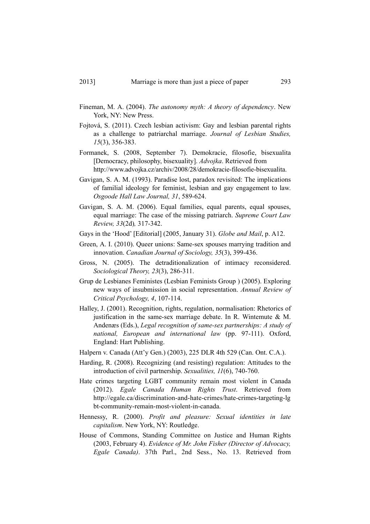- Fineman, M. A. (2004). *The autonomy myth: A theory of dependency*. New York, NY: New Press.
- Fojtová, S. (2011). Czech lesbian activism: Gay and lesbian parental rights as a challenge to patriarchal marriage. *Journal of Lesbian Studies, 15*(3), 356-383.
- Formanek, S. (2008, September 7). Demokracie, filosofie, bisexualita [Democracy, philosophy, bisexuality]. *Advojka*. Retrieved from http://www.advojka.cz/archiv/2008/28/demokracie-filosofie-bisexualita.
- Gavigan, S. A. M. (1993). Paradise lost, paradox revisited: The implications of familial ideology for feminist, lesbian and gay engagement to law. *Osgoode Hall Law Journal, 31*, 589-624.
- Gavigan, S. A. M. (2006). Equal families, equal parents, equal spouses, equal marriage: The case of the missing patriarch. *Supreme Court Law Review, 33*(2d)*,* 317-342.
- Gays in the 'Hood' [Editorial] (2005, January 31). *Globe and Mail*, p. A12.
- Green, A. I. (2010). Queer unions: Same-sex spouses marrying tradition and innovation. *Canadian Journal of Sociology, 35*(3), 399-436.
- Gross, N. (2005). The detraditionalization of intimacy reconsidered. *Sociological Theory, 23*(3), 286-311.
- Grup de Lesbianes Feministes (Lesbian Feminists Group ) (2005). Exploring new ways of insubmission in social representation. *Annual Review of Critical Psychology, 4*, 107-114.
- Halley, J. (2001). Recognition, rights, regulation, normalisation: Rhetorics of justification in the same-sex marriage debate. In R. Wintemute  $\& M$ . Andenæs (Eds.), *Legal recognition of same-sex partnerships: A study of national, European and international law* (pp. 97-111). Oxford, England: Hart Publishing.
- Halpern v. Canada (Att'y Gen.) (2003), 225 DLR 4th 529 (Can. Ont. C.A.).
- Harding, R. (2008). Recognizing (and resisting) regulation: Attitudes to the introduction of civil partnership. *Sexualities, 11*(6), 740-760.
- Hate crimes targeting LGBT community remain most violent in Canada (2012). *Egale Canada Human Rights Trust*. Retrieved from http://egale.ca/discrimination-and-hate-crimes/hate-crimes-targeting-lg bt-community-remain-most-violent-in-canada.
- Hennessy, R. (2000). *Profit and pleasure: Sexual identities in late capitalism*. New York, NY: Routledge.
- House of Commons, Standing Committee on Justice and Human Rights (2003, February 4). *Evidence of Mr. John Fisher (Director of Advocacy, Egale Canada)*. 37th Parl., 2nd Sess., No. 13. Retrieved from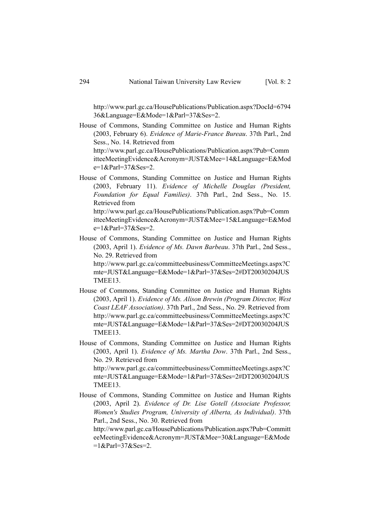http://www.parl.gc.ca/HousePublications/Publication.aspx?DocId=6794 36&Language=E&Mode=1&Parl=37&Ses=2.

House of Commons, Standing Committee on Justice and Human Rights (2003, February 6). *Evidence of Marie-France Bureau*. 37th Parl., 2nd Sess., No. 14. Retrieved from

http://www.parl.gc.ca/HousePublications/Publication.aspx?Pub=Comm itteeMeetingEvidence&Acronym=JUST&Mee=14&Language=E&Mod  $e=1$  & Parl=37 & Ses=2.

House of Commons, Standing Committee on Justice and Human Rights (2003, February 11). *Evidence of Michelle Douglas (President, Foundation for Equal Families)*. 37th Parl., 2nd Sess., No. 15. Retrieved from http://www.parl.gc.ca/HousePublications/Publication.aspx?Pub=Comm

itteeMeetingEvidence&Acronym=JUST&Mee=15&Language=E&Mod  $e=1$  & Parl=37 & Ses=2.

House of Commons, Standing Committee on Justice and Human Rights (2003, April 1). *Evidence of Ms. Dawn Barbeau*. 37th Parl., 2nd Sess., No. 29. Retrieved from

http://www.parl.gc.ca/committeebusiness/CommitteeMeetings.aspx?C mte=JUST&Language=E&Mode=1&Parl=37&Ses=2#DT20030204JUS TMEE13.

- House of Commons, Standing Committee on Justice and Human Rights (2003, April 1). *Evidence of Ms. Alison Brewin (Program Director, West Coast LEAF Association)*. 37th Parl., 2nd Sess., No. 29. Retrieved from http://www.parl.gc.ca/committeebusiness/CommitteeMeetings.aspx?C mte=JUST&Language=E&Mode=1&Parl=37&Ses=2#DT20030204JUS TMEE13.
- House of Commons, Standing Committee on Justice and Human Rights (2003, April 1). *Evidence of Ms. Martha Dow*. 37th Parl., 2nd Sess., No. 29. Retrieved from http://www.parl.gc.ca/committeebusiness/CommitteeMeetings.aspx?C

mte=JUST&Language=E&Mode=1&Parl=37&Ses=2#DT20030204JUS TMEE13.

House of Commons, Standing Committee on Justice and Human Rights (2003, April 2). *Evidence of Dr. Lise Gotell (Associate Professor, Women's Studies Program, University of Alberta, As Individual)*. 37th Parl., 2nd Sess., No. 30. Retrieved from

http://www.parl.gc.ca/HousePublications/Publication.aspx?Pub=Committ eeMeetingEvidence&Acronym=JUST&Mee=30&Language=E&Mode  $=1$  & Parl=37 & Ses=2.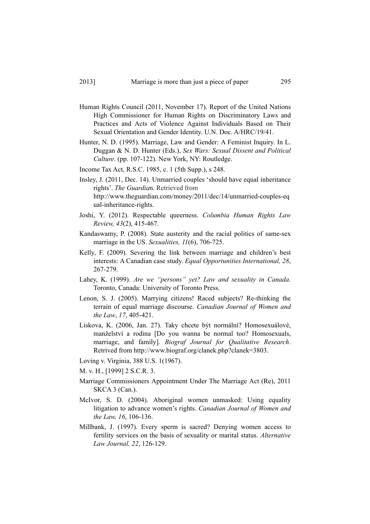- Human Rights Council (2011, November 17). Report of the United Nations High Commissioner for Human Rights on Discriminatory Laws and Practices and Acts of Violence Against Individuals Based on Their Sexual Orientation and Gender Identity. U.N. Doc. A/HRC/19/41.
- Hunter, N. D. (1995). Marriage, Law and Gender: A Feminist Inquiry. In L. Duggan & N. D. Hunter (Eds.), *Sex Wars: Sexual Dissent and Political Culture*. (pp. 107-122). New York, NY: Routledge.
- Income Tax Act, R.S.C. 1985, c. 1 (5th Supp.), s 248.
- Insley, J. (2011, Dec. 14). Unmarried couples 'should have equal inheritance rights'. *The Guardia*n. Retrieved from http://www.theguardian.com/money/2011/dec/14/unmarried-couples-eq ual-inheritance-rights.
- Joshi, Y. (2012). Respectable queerness. *Columbia Human Rights Law Review, 43*(2), 415-467.
- Kandaswamy, P. (2008). State austerity and the racial politics of same-sex marriage in the US. *Sexualities, 11*(6), 706-725.
- Kelly, F. (2009). Severing the link between marriage and children's best interests: A Canadian case study. *Equal Opportunities International, 28*, 267-279.
- Lahey, K. (1999). *Are we "persons" yet? Law and sexuality in Canada*. Toronto, Canada: University of Toronto Press.
- Lenon, S. J. (2005). Marrying citizens! Raced subjects? Re-thinking the terrain of equal marriage discourse. *Canadian Journal of Women and the Law*, *17*, 405-421.
- Liskova, K. (2006, Jan. 27). Taky chcete být normální? Homosexuálové, manželství a rodina [Do you wanna be normal too? Homosexuals, marriage, and family]. *Biograf Journal for Qualitative Research*. Retrived from http://www.biograf.org/clanek.php?clanek=3803.
- Loving v. Virginia, 388 U.S. 1(1967).
- M. v. H., [1999] 2 S.C.R. 3.
- Marriage Commissioners Appointment Under The Marriage Act (Re), 2011 SKCA 3 (Can.).
- McIvor, S. D. (2004). Aboriginal women unmasked: Using equality litigation to advance women's rights. *Canadian Journal of Women and the Law, 16*, 106-136.
- Millbank, J. (1997). Every sperm is sacred? Denying women access to fertility services on the basis of sexuality or marital status. *Alternative Law Journal, 22*, 126-129.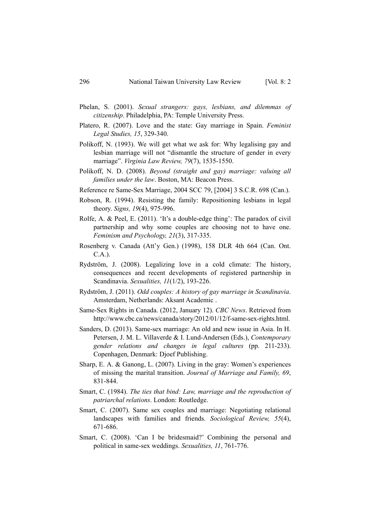- Phelan, S. (2001). *Sexual strangers: gays, lesbians, and dilemmas of citizenship*. Philadelphia, PA: Temple University Press.
- Platero, R. (2007). Love and the state: Gay marriage in Spain. *Feminist Legal Studies, 15*, 329-340.
- Polikoff, N. (1993). We will get what we ask for: Why legalising gay and lesbian marriage will not "dismantle the structure of gender in every marriage". *Virginia Law Review, 79*(7), 1535-1550.
- Polikoff, N. D. (2008). *Beyond (straight and gay) marriage: valuing all families under the law*. Boston, MA: Beacon Press.
- Reference re Same-Sex Marriage, 2004 SCC 79, [2004] 3 S.C.R. 698 (Can.).
- Robson, R. (1994). Resisting the family: Repositioning lesbians in legal theory. *Signs, 19*(4), 975-996.
- Rolfe, A. & Peel, E. (2011). 'It's a double-edge thing': The paradox of civil partnership and why some couples are choosing not to have one. *Feminism and Psychology, 21*(3), 317-335.
- Rosenberg v. Canada (Att'y Gen.) (1998), 158 DLR 4th 664 (Can. Ont. C.A.).
- Rydström, J. (2008). Legalizing love in a cold climate: The history, consequences and recent developments of registered partnership in Scandinavia. *Sexualities, 11*(1/2), 193-226.
- Rydström, J. (2011). *Odd couples: A history of gay marriage in Scandinavia*. Amsterdam, Netherlands: Aksant Academic .
- Same-Sex Rights in Canada. (2012, January 12). *CBC News*. Retrieved from http://www.cbc.ca/news/canada/story/2012/01/12/f-same-sex-rights.html.
- Sanders, D. (2013). Same-sex marriage: An old and new issue in Asia. In H. Petersen, J. M. L. Villaverde & I. Lund-Andersen (Eds.), *Contemporary gender relations and changes in legal cultures* (pp. 211-233). Copenhagen, Denmark: Djoef Publishing.
- Sharp, E. A. & Ganong, L. (2007). Living in the gray: Women's experiences of missing the marital transition. *Journal of Marriage and Family, 69*, 831-844.
- Smart, C. (1984). *The ties that bind: Law, marriage and the reproduction of patriarchal relations*. London: Routledge.
- Smart, C. (2007). Same sex couples and marriage: Negotiating relational landscapes with families and friends. *Sociological Review, 55*(4), 671-686.
- Smart, C. (2008). 'Can I be bridesmaid?' Combining the personal and political in same-sex weddings. *Sexualities, 11*, 761-776.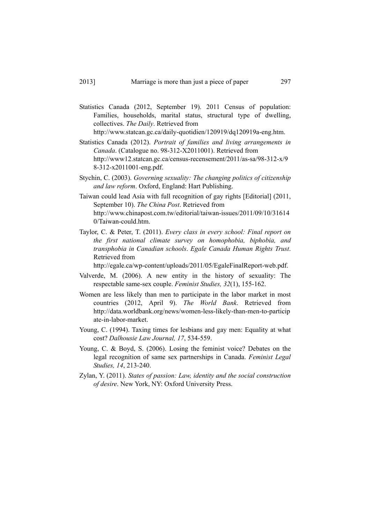- Statistics Canada (2012, September 19). 2011 Census of population: Families, households, marital status, structural type of dwelling, collectives. *The Daily*. Retrieved from http://www.statcan.gc.ca/daily-quotidien/120919/dq120919a-eng.htm.
- Statistics Canada (2012). *Portrait of families and living arrangements in Canada*. (Catalogue no. 98-312-X2011001). Retrieved from http://www12.statcan.gc.ca/census-recensement/2011/as-sa/98-312-x/9 8-312-x2011001-eng.pdf.
- Stychin, C. (2003). *Governing sexuality: The changing politics of citizenship and law reform*. Oxford, England: Hart Publishing.
- Taiwan could lead Asia with full recognition of gay rights [Editorial] (2011, September 10). *The China Post*. Retrieved from http://www.chinapost.com.tw/editorial/taiwan-issues/2011/09/10/31614 0/Taiwan-could.htm.
- Taylor, C. & Peter, T. (2011). *Every class in every school: Final report on the first national climate survey on homophobia, biphobia, and transphobia in Canadian schools*. *Egale Canada Human Rights Trust*. Retrieved from

http://egale.ca/wp-content/uploads/2011/05/EgaleFinalReport-web.pdf.

- Valverde, M. (2006). A new entity in the history of sexuality: The respectable same-sex couple. *Feminist Studies, 32*(1), 155-162.
- Women are less likely than men to participate in the labor market in most countries (2012, April 9). *The World Bank*. Retrieved from http://data.worldbank.org/news/women-less-likely-than-men-to-particip ate-in-labor-market.
- Young, C. (1994). Taxing times for lesbians and gay men: Equality at what cost? *Dalhousie Law Journal, 17*, 534-559.
- Young, C. & Boyd, S. (2006). Losing the feminist voice? Debates on the legal recognition of same sex partnerships in Canada. *Feminist Legal Studies, 14*, 213-240.
- Zylan, Y. (2011). *States of passion: Law, identity and the social construction of desire*. New York, NY: Oxford University Press.